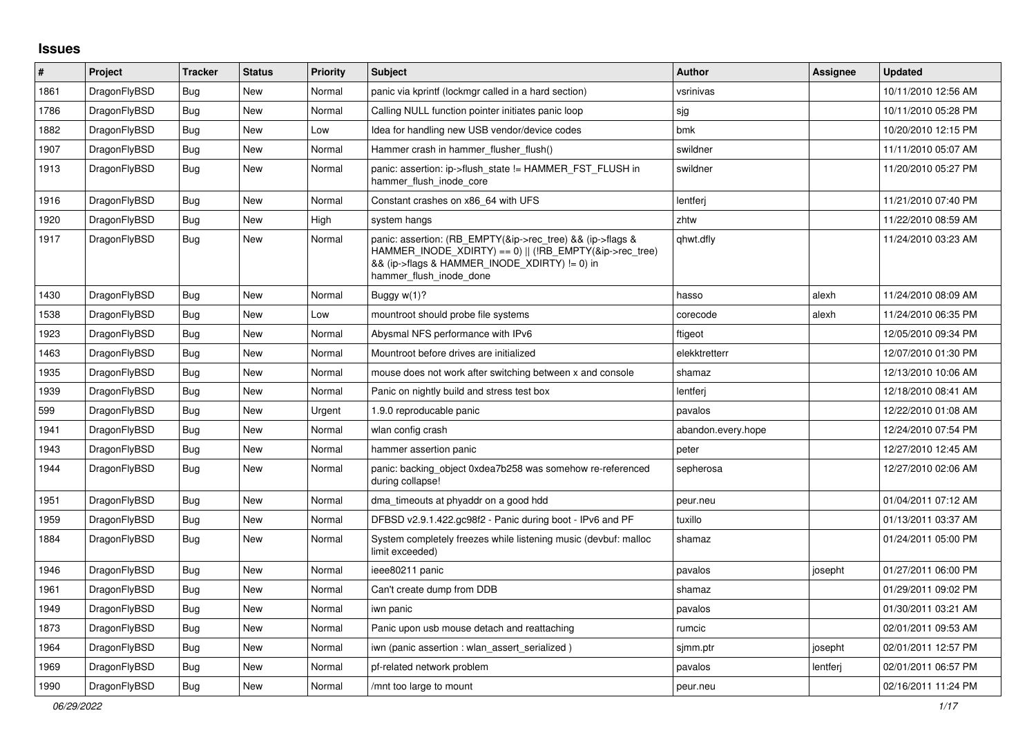## **Issues**

| #    | Project      | <b>Tracker</b> | <b>Status</b> | <b>Priority</b> | <b>Subject</b>                                                                                                                                                                                    | <b>Author</b>      | Assignee | <b>Updated</b>      |
|------|--------------|----------------|---------------|-----------------|---------------------------------------------------------------------------------------------------------------------------------------------------------------------------------------------------|--------------------|----------|---------------------|
| 1861 | DragonFlyBSD | Bug            | New           | Normal          | panic via kprintf (lockmgr called in a hard section)                                                                                                                                              | vsrinivas          |          | 10/11/2010 12:56 AM |
| 1786 | DragonFlyBSD | <b>Bug</b>     | New           | Normal          | Calling NULL function pointer initiates panic loop                                                                                                                                                | sjg                |          | 10/11/2010 05:28 PM |
| 1882 | DragonFlyBSD | Bug            | New           | Low             | Idea for handling new USB vendor/device codes                                                                                                                                                     | bmk                |          | 10/20/2010 12:15 PM |
| 1907 | DragonFlyBSD | <b>Bug</b>     | New           | Normal          | Hammer crash in hammer flusher flush()                                                                                                                                                            | swildner           |          | 11/11/2010 05:07 AM |
| 1913 | DragonFlyBSD | Bug            | New           | Normal          | panic: assertion: ip->flush_state != HAMMER_FST_FLUSH in<br>hammer flush inode core                                                                                                               | swildner           |          | 11/20/2010 05:27 PM |
| 1916 | DragonFlyBSD | <b>Bug</b>     | <b>New</b>    | Normal          | Constant crashes on x86 64 with UFS                                                                                                                                                               | lentferj           |          | 11/21/2010 07:40 PM |
| 1920 | DragonFlyBSD | <b>Bug</b>     | New           | High            | system hangs                                                                                                                                                                                      | zhtw               |          | 11/22/2010 08:59 AM |
| 1917 | DragonFlyBSD | Bug            | New           | Normal          | panic: assertion: (RB EMPTY(&ip->rec tree) && (ip->flags &<br>HAMMER INODE XDIRTY) == 0)    (!RB EMPTY(&ip->rec tree)<br>&& (ip->flags & HAMMER_INODE_XDIRTY) != 0) in<br>hammer flush inode done | qhwt.dfly          |          | 11/24/2010 03:23 AM |
| 1430 | DragonFlyBSD | <b>Bug</b>     | New           | Normal          | Buggy w(1)?                                                                                                                                                                                       | hasso              | alexh    | 11/24/2010 08:09 AM |
| 1538 | DragonFlyBSD | <b>Bug</b>     | New           | Low             | mountroot should probe file systems                                                                                                                                                               | corecode           | alexh    | 11/24/2010 06:35 PM |
| 1923 | DragonFlyBSD | <b>Bug</b>     | New           | Normal          | Abysmal NFS performance with IPv6                                                                                                                                                                 | ftigeot            |          | 12/05/2010 09:34 PM |
| 1463 | DragonFlyBSD | Bug            | New           | Normal          | Mountroot before drives are initialized                                                                                                                                                           | elekktretterr      |          | 12/07/2010 01:30 PM |
| 1935 | DragonFlyBSD | <b>Bug</b>     | New           | Normal          | mouse does not work after switching between x and console                                                                                                                                         | shamaz             |          | 12/13/2010 10:06 AM |
| 1939 | DragonFlyBSD | <b>Bug</b>     | New           | Normal          | Panic on nightly build and stress test box                                                                                                                                                        | lentferj           |          | 12/18/2010 08:41 AM |
| 599  | DragonFlyBSD | Bug            | New           | Urgent          | 1.9.0 reproducable panic                                                                                                                                                                          | pavalos            |          | 12/22/2010 01:08 AM |
| 1941 | DragonFlyBSD | <b>Bug</b>     | New           | Normal          | wlan config crash                                                                                                                                                                                 | abandon.every.hope |          | 12/24/2010 07:54 PM |
| 1943 | DragonFlyBSD | <b>Bug</b>     | <b>New</b>    | Normal          | hammer assertion panic                                                                                                                                                                            | peter              |          | 12/27/2010 12:45 AM |
| 1944 | DragonFlyBSD | Bug            | New           | Normal          | panic: backing_object 0xdea7b258 was somehow re-referenced<br>during collapse!                                                                                                                    | sepherosa          |          | 12/27/2010 02:06 AM |
| 1951 | DragonFlyBSD | <b>Bug</b>     | <b>New</b>    | Normal          | dma_timeouts at phyaddr on a good hdd                                                                                                                                                             | peur.neu           |          | 01/04/2011 07:12 AM |
| 1959 | DragonFlyBSD | <b>Bug</b>     | New           | Normal          | DFBSD v2.9.1.422.gc98f2 - Panic during boot - IPv6 and PF                                                                                                                                         | tuxillo            |          | 01/13/2011 03:37 AM |
| 1884 | DragonFlyBSD | Bug            | New           | Normal          | System completely freezes while listening music (devbuf: malloc<br>limit exceeded)                                                                                                                | shamaz             |          | 01/24/2011 05:00 PM |
| 1946 | DragonFlyBSD | <b>Bug</b>     | <b>New</b>    | Normal          | ieee80211 panic                                                                                                                                                                                   | pavalos            | josepht  | 01/27/2011 06:00 PM |
| 1961 | DragonFlyBSD | Bug            | New           | Normal          | Can't create dump from DDB                                                                                                                                                                        | shamaz             |          | 01/29/2011 09:02 PM |
| 1949 | DragonFlyBSD | <b>Bug</b>     | New           | Normal          | iwn panic                                                                                                                                                                                         | pavalos            |          | 01/30/2011 03:21 AM |
| 1873 | DragonFlyBSD | Bug            | New           | Normal          | Panic upon usb mouse detach and reattaching                                                                                                                                                       | rumcic             |          | 02/01/2011 09:53 AM |
| 1964 | DragonFlyBSD | Bug            | New           | Normal          | iwn (panic assertion : wlan assert serialized)                                                                                                                                                    | sjmm.ptr           | josepht  | 02/01/2011 12:57 PM |
| 1969 | DragonFlyBSD | <b>Bug</b>     | New           | Normal          | pf-related network problem                                                                                                                                                                        | pavalos            | lentferj | 02/01/2011 06:57 PM |
| 1990 | DragonFlyBSD | Bug            | New           | Normal          | /mnt too large to mount                                                                                                                                                                           | peur.neu           |          | 02/16/2011 11:24 PM |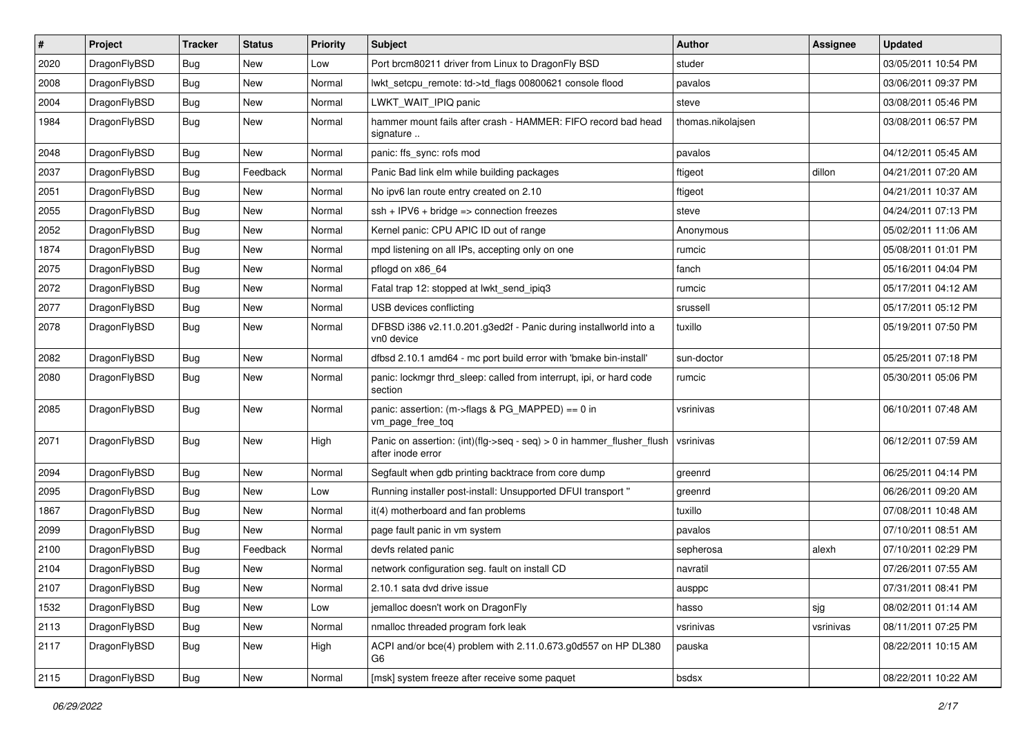| $\sharp$ | Project      | <b>Tracker</b> | <b>Status</b> | <b>Priority</b> | Subject                                                                                    | Author            | <b>Assignee</b> | <b>Updated</b>      |
|----------|--------------|----------------|---------------|-----------------|--------------------------------------------------------------------------------------------|-------------------|-----------------|---------------------|
| 2020     | DragonFlyBSD | <b>Bug</b>     | <b>New</b>    | Low             | Port brcm80211 driver from Linux to DragonFly BSD                                          | studer            |                 | 03/05/2011 10:54 PM |
| 2008     | DragonFlyBSD | Bug            | <b>New</b>    | Normal          | lwkt_setcpu_remote: td->td_flags 00800621 console flood                                    | pavalos           |                 | 03/06/2011 09:37 PM |
| 2004     | DragonFlyBSD | <b>Bug</b>     | New           | Normal          | LWKT_WAIT_IPIQ panic                                                                       | steve             |                 | 03/08/2011 05:46 PM |
| 1984     | DragonFlyBSD | <b>Bug</b>     | <b>New</b>    | Normal          | hammer mount fails after crash - HAMMER: FIFO record bad head<br>signature                 | thomas.nikolajsen |                 | 03/08/2011 06:57 PM |
| 2048     | DragonFlyBSD | Bug            | New           | Normal          | panic: ffs_sync: rofs mod                                                                  | pavalos           |                 | 04/12/2011 05:45 AM |
| 2037     | DragonFlyBSD | <b>Bug</b>     | Feedback      | Normal          | Panic Bad link elm while building packages                                                 | ftigeot           | dillon          | 04/21/2011 07:20 AM |
| 2051     | DragonFlyBSD | <b>Bug</b>     | New           | Normal          | No ipv6 lan route entry created on 2.10                                                    | ftigeot           |                 | 04/21/2011 10:37 AM |
| 2055     | DragonFlyBSD | <b>Bug</b>     | New           | Normal          | ssh + IPV6 + bridge => connection freezes                                                  | steve             |                 | 04/24/2011 07:13 PM |
| 2052     | DragonFlyBSD | Bug            | <b>New</b>    | Normal          | Kernel panic: CPU APIC ID out of range                                                     | Anonymous         |                 | 05/02/2011 11:06 AM |
| 1874     | DragonFlyBSD | <b>Bug</b>     | New           | Normal          | mpd listening on all IPs, accepting only on one                                            | rumcic            |                 | 05/08/2011 01:01 PM |
| 2075     | DragonFlyBSD | <b>Bug</b>     | New           | Normal          | pflogd on x86 64                                                                           | fanch             |                 | 05/16/2011 04:04 PM |
| 2072     | DragonFlyBSD | Bug            | <b>New</b>    | Normal          | Fatal trap 12: stopped at lwkt send ipig3                                                  | rumcic            |                 | 05/17/2011 04:12 AM |
| 2077     | DragonFlyBSD | <b>Bug</b>     | New           | Normal          | USB devices conflicting                                                                    | srussell          |                 | 05/17/2011 05:12 PM |
| 2078     | DragonFlyBSD | Bug            | New           | Normal          | DFBSD i386 v2.11.0.201.g3ed2f - Panic during installworld into a<br>vn0 device             | tuxillo           |                 | 05/19/2011 07:50 PM |
| 2082     | DragonFlyBSD | Bug            | New           | Normal          | dfbsd 2.10.1 amd64 - mc port build error with 'bmake bin-install'                          | sun-doctor        |                 | 05/25/2011 07:18 PM |
| 2080     | DragonFlyBSD | Bug            | <b>New</b>    | Normal          | panic: lockmgr thrd_sleep: called from interrupt, ipi, or hard code<br>section             | rumcic            |                 | 05/30/2011 05:06 PM |
| 2085     | DragonFlyBSD | Bug            | New           | Normal          | panic: assertion: (m->flags & PG_MAPPED) == 0 in<br>vm_page_free_toq                       | vsrinivas         |                 | 06/10/2011 07:48 AM |
| 2071     | DragonFlyBSD | Bug            | New           | High            | Panic on assertion: (int)(flg->seq - seq) > 0 in hammer_flusher_flush<br>after inode error | vsrinivas         |                 | 06/12/2011 07:59 AM |
| 2094     | DragonFlyBSD | <b>Bug</b>     | New           | Normal          | Segfault when gdb printing backtrace from core dump                                        | greenrd           |                 | 06/25/2011 04:14 PM |
| 2095     | DragonFlyBSD | <b>Bug</b>     | New           | Low             | Running installer post-install: Unsupported DFUI transport "                               | greenrd           |                 | 06/26/2011 09:20 AM |
| 1867     | DragonFlyBSD | Bug            | <b>New</b>    | Normal          | it(4) motherboard and fan problems                                                         | tuxillo           |                 | 07/08/2011 10:48 AM |
| 2099     | DragonFlyBSD | <b>Bug</b>     | New           | Normal          | page fault panic in vm system                                                              | pavalos           |                 | 07/10/2011 08:51 AM |
| 2100     | DragonFlyBSD | <b>Bug</b>     | Feedback      | Normal          | devfs related panic                                                                        | sepherosa         | alexh           | 07/10/2011 02:29 PM |
| 2104     | DragonFlyBSD | <b>Bug</b>     | New           | Normal          | network configuration seg. fault on install CD                                             | navratil          |                 | 07/26/2011 07:55 AM |
| 2107     | DragonFlyBSD | <b>Bug</b>     | New           | Normal          | 2.10.1 sata dvd drive issue                                                                | ausppc            |                 | 07/31/2011 08:41 PM |
| 1532     | DragonFlyBSD | <b>Bug</b>     | <b>New</b>    | Low             | jemalloc doesn't work on DragonFly                                                         | hasso             | sig             | 08/02/2011 01:14 AM |
| 2113     | DragonFlyBSD | <b>Bug</b>     | New           | Normal          | nmalloc threaded program fork leak                                                         | vsrinivas         | vsrinivas       | 08/11/2011 07:25 PM |
| 2117     | DragonFlyBSD | Bug            | New           | High            | ACPI and/or bce(4) problem with 2.11.0.673.g0d557 on HP DL380<br>G6                        | pauska            |                 | 08/22/2011 10:15 AM |
| 2115     | DragonFlyBSD | <b>Bug</b>     | New           | Normal          | [msk] system freeze after receive some paquet                                              | bsdsx             |                 | 08/22/2011 10:22 AM |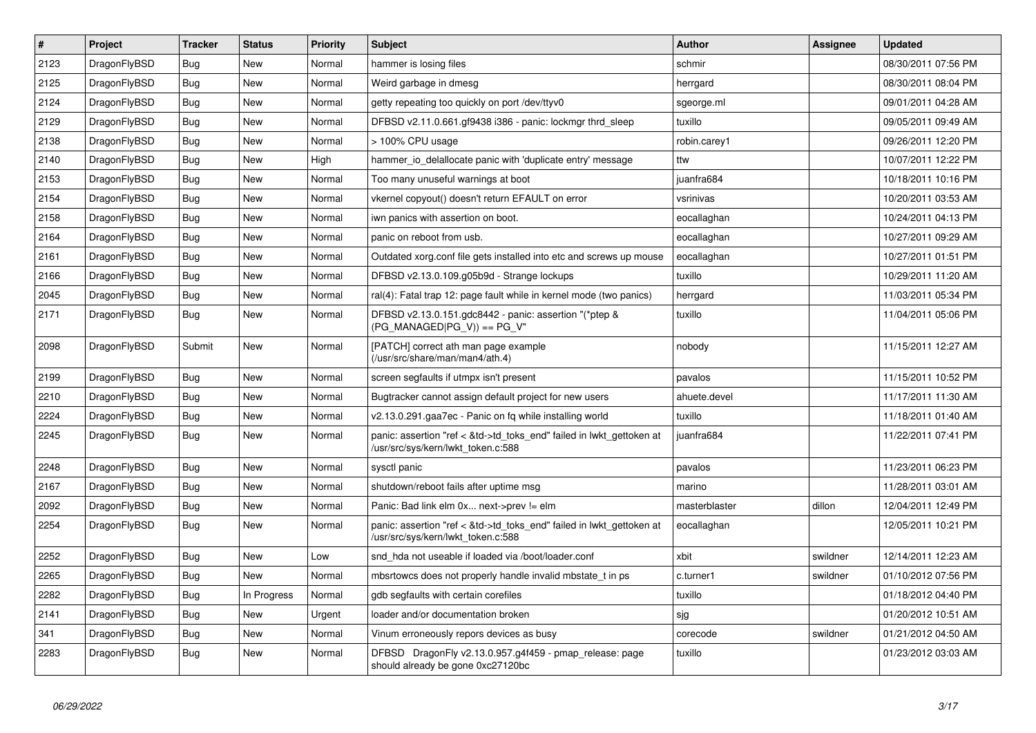| $\vert$ # | <b>Project</b> | <b>Tracker</b> | <b>Status</b> | <b>Priority</b> | <b>Subject</b>                                                                                             | <b>Author</b> | <b>Assignee</b> | <b>Updated</b>      |
|-----------|----------------|----------------|---------------|-----------------|------------------------------------------------------------------------------------------------------------|---------------|-----------------|---------------------|
| 2123      | DragonFlyBSD   | Bug            | <b>New</b>    | Normal          | hammer is losing files                                                                                     | schmir        |                 | 08/30/2011 07:56 PM |
| 2125      | DragonFlyBSD   | Bug            | <b>New</b>    | Normal          | Weird garbage in dmesg                                                                                     | herrgard      |                 | 08/30/2011 08:04 PM |
| 2124      | DragonFlyBSD   | Bug            | <b>New</b>    | Normal          | getty repeating too quickly on port /dev/ttyv0                                                             | sgeorge.ml    |                 | 09/01/2011 04:28 AM |
| 2129      | DragonFlyBSD   | Bug            | <b>New</b>    | Normal          | DFBSD v2.11.0.661.gf9438 i386 - panic: lockmgr thrd sleep                                                  | tuxillo       |                 | 09/05/2011 09:49 AM |
| 2138      | DragonFlyBSD   | <b>Bug</b>     | <b>New</b>    | Normal          | > 100% CPU usage                                                                                           | robin.carey1  |                 | 09/26/2011 12:20 PM |
| 2140      | DragonFlyBSD   | <b>Bug</b>     | New           | High            | hammer io delallocate panic with 'duplicate entry' message                                                 | ttw           |                 | 10/07/2011 12:22 PM |
| 2153      | DragonFlyBSD   | Bug            | <b>New</b>    | Normal          | Too many unuseful warnings at boot                                                                         | juanfra684    |                 | 10/18/2011 10:16 PM |
| 2154      | DragonFlyBSD   | Bug            | New           | Normal          | vkernel copyout() doesn't return EFAULT on error                                                           | vsrinivas     |                 | 10/20/2011 03:53 AM |
| 2158      | DragonFlyBSD   | <b>Bug</b>     | <b>New</b>    | Normal          | iwn panics with assertion on boot.                                                                         | eocallaghan   |                 | 10/24/2011 04:13 PM |
| 2164      | DragonFlyBSD   | <b>Bug</b>     | <b>New</b>    | Normal          | panic on reboot from usb.                                                                                  | eocallaghan   |                 | 10/27/2011 09:29 AM |
| 2161      | DragonFlyBSD   | Bug            | <b>New</b>    | Normal          | Outdated xorg.conf file gets installed into etc and screws up mouse                                        | eocallaghan   |                 | 10/27/2011 01:51 PM |
| 2166      | DragonFlyBSD   | Bug            | <b>New</b>    | Normal          | DFBSD v2.13.0.109.g05b9d - Strange lockups                                                                 | tuxillo       |                 | 10/29/2011 11:20 AM |
| 2045      | DragonFlyBSD   | <b>Bug</b>     | <b>New</b>    | Normal          | ral(4): Fatal trap 12: page fault while in kernel mode (two panics)                                        | herrgard      |                 | 11/03/2011 05:34 PM |
| 2171      | DragonFlyBSD   | <b>Bug</b>     | <b>New</b>    | Normal          | DFBSD v2.13.0.151.gdc8442 - panic: assertion "(*ptep &<br>$(PG MANAGED PG V)) == PG V''$                   | tuxillo       |                 | 11/04/2011 05:06 PM |
| 2098      | DragonFlyBSD   | Submit         | <b>New</b>    | Normal          | [PATCH] correct ath man page example<br>(/usr/src/share/man/man4/ath.4)                                    | nobody        |                 | 11/15/2011 12:27 AM |
| 2199      | DragonFlyBSD   | Bug            | <b>New</b>    | Normal          | screen segfaults if utmpx isn't present                                                                    | pavalos       |                 | 11/15/2011 10:52 PM |
| 2210      | DragonFlyBSD   | Bug            | New           | Normal          | Bugtracker cannot assign default project for new users                                                     | ahuete.devel  |                 | 11/17/2011 11:30 AM |
| 2224      | DragonFlyBSD   | <b>Bug</b>     | <b>New</b>    | Normal          | v2.13.0.291.gaa7ec - Panic on fq while installing world                                                    | tuxillo       |                 | 11/18/2011 01:40 AM |
| 2245      | DragonFlyBSD   | <b>Bug</b>     | <b>New</b>    | Normal          | panic: assertion "ref < &td->td_toks_end" failed in lwkt_gettoken at<br>/usr/src/sys/kern/lwkt_token.c:588 | juanfra684    |                 | 11/22/2011 07:41 PM |
| 2248      | DragonFlyBSD   | <b>Bug</b>     | <b>New</b>    | Normal          | sysctl panic                                                                                               | pavalos       |                 | 11/23/2011 06:23 PM |
| 2167      | DragonFlyBSD   | Bug            | <b>New</b>    | Normal          | shutdown/reboot fails after uptime msg                                                                     | marino        |                 | 11/28/2011 03:01 AM |
| 2092      | DragonFlyBSD   | Bug            | <b>New</b>    | Normal          | Panic: Bad link elm 0x next->prev != elm                                                                   | masterblaster | dillon          | 12/04/2011 12:49 PM |
| 2254      | DragonFlyBSD   | Bug            | New           | Normal          | panic: assertion "ref < &td->td toks end" failed in lwkt gettoken at<br>/usr/src/sys/kern/lwkt token.c:588 | eocallaghan   |                 | 12/05/2011 10:21 PM |
| 2252      | DragonFlyBSD   | <b>Bug</b>     | <b>New</b>    | Low             | snd hda not useable if loaded via /boot/loader.conf                                                        | xbit          | swildner        | 12/14/2011 12:23 AM |
| 2265      | DragonFlyBSD   | <b>Bug</b>     | <b>New</b>    | Normal          | mbsrtowcs does not properly handle invalid mbstate t in ps                                                 | c.turner1     | swildner        | 01/10/2012 07:56 PM |
| 2282      | DragonFlyBSD   | Bug            | In Progress   | Normal          | gdb segfaults with certain corefiles                                                                       | tuxillo       |                 | 01/18/2012 04:40 PM |
| 2141      | DragonFlyBSD   | <b>Bug</b>     | <b>New</b>    | Urgent          | loader and/or documentation broken                                                                         | sjg           |                 | 01/20/2012 10:51 AM |
| 341       | DragonFlyBSD   | Bug            | New           | Normal          | Vinum erroneously repors devices as busy                                                                   | corecode      | swildner        | 01/21/2012 04:50 AM |
| 2283      | DragonFlyBSD   | <b>Bug</b>     | <b>New</b>    | Normal          | DFBSD DragonFly v2.13.0.957.g4f459 - pmap_release: page<br>should already be gone 0xc27120bc               | tuxillo       |                 | 01/23/2012 03:03 AM |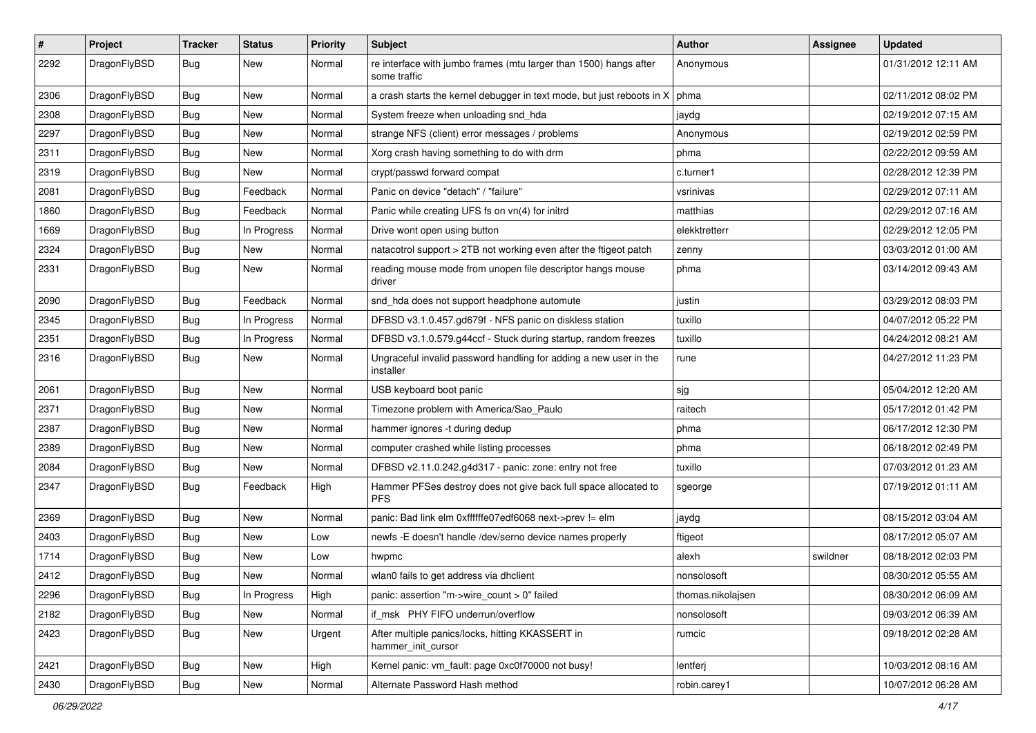| $\sharp$ | Project      | <b>Tracker</b> | <b>Status</b> | <b>Priority</b> | <b>Subject</b>                                                                    | <b>Author</b>     | Assignee | <b>Updated</b>      |
|----------|--------------|----------------|---------------|-----------------|-----------------------------------------------------------------------------------|-------------------|----------|---------------------|
| 2292     | DragonFlyBSD | Bug            | New           | Normal          | re interface with jumbo frames (mtu larger than 1500) hangs after<br>some traffic | Anonymous         |          | 01/31/2012 12:11 AM |
| 2306     | DragonFlyBSD | Bug            | <b>New</b>    | Normal          | a crash starts the kernel debugger in text mode, but just reboots in X            | phma              |          | 02/11/2012 08:02 PM |
| 2308     | DragonFlyBSD | <b>Bug</b>     | New           | Normal          | System freeze when unloading snd_hda                                              | jaydg             |          | 02/19/2012 07:15 AM |
| 2297     | DragonFlyBSD | Bug            | <b>New</b>    | Normal          | strange NFS (client) error messages / problems                                    | Anonymous         |          | 02/19/2012 02:59 PM |
| 2311     | DragonFlyBSD | <b>Bug</b>     | New           | Normal          | Xorg crash having something to do with drm                                        | phma              |          | 02/22/2012 09:59 AM |
| 2319     | DragonFlyBSD | <b>Bug</b>     | New           | Normal          | crypt/passwd forward compat                                                       | c.turner1         |          | 02/28/2012 12:39 PM |
| 2081     | DragonFlyBSD | <b>Bug</b>     | Feedback      | Normal          | Panic on device "detach" / "failure"                                              | vsrinivas         |          | 02/29/2012 07:11 AM |
| 1860     | DragonFlyBSD | <b>Bug</b>     | Feedback      | Normal          | Panic while creating UFS fs on vn(4) for initrd                                   | matthias          |          | 02/29/2012 07:16 AM |
| 1669     | DragonFlyBSD | Bug            | In Progress   | Normal          | Drive wont open using button                                                      | elekktretterr     |          | 02/29/2012 12:05 PM |
| 2324     | DragonFlyBSD | <b>Bug</b>     | New           | Normal          | natacotrol support > 2TB not working even after the ftigeot patch                 | zenny             |          | 03/03/2012 01:00 AM |
| 2331     | DragonFlyBSD | <b>Bug</b>     | New           | Normal          | reading mouse mode from unopen file descriptor hangs mouse<br>driver              | phma              |          | 03/14/2012 09:43 AM |
| 2090     | DragonFlyBSD | Bug            | Feedback      | Normal          | snd_hda does not support headphone automute                                       | justin            |          | 03/29/2012 08:03 PM |
| 2345     | DragonFlyBSD | <b>Bug</b>     | In Progress   | Normal          | DFBSD v3.1.0.457.gd679f - NFS panic on diskless station                           | tuxillo           |          | 04/07/2012 05:22 PM |
| 2351     | DragonFlyBSD | <b>Bug</b>     | In Progress   | Normal          | DFBSD v3.1.0.579.g44ccf - Stuck during startup, random freezes                    | tuxillo           |          | 04/24/2012 08:21 AM |
| 2316     | DragonFlyBSD | <b>Bug</b>     | New           | Normal          | Ungraceful invalid password handling for adding a new user in the<br>installer    | rune              |          | 04/27/2012 11:23 PM |
| 2061     | DragonFlyBSD | Bug            | <b>New</b>    | Normal          | USB keyboard boot panic                                                           | sjg               |          | 05/04/2012 12:20 AM |
| 2371     | DragonFlyBSD | <b>Bug</b>     | <b>New</b>    | Normal          | Timezone problem with America/Sao_Paulo                                           | raitech           |          | 05/17/2012 01:42 PM |
| 2387     | DragonFlyBSD | Bug            | <b>New</b>    | Normal          | hammer ignores -t during dedup                                                    | phma              |          | 06/17/2012 12:30 PM |
| 2389     | DragonFlyBSD | <b>Bug</b>     | New           | Normal          | computer crashed while listing processes                                          | phma              |          | 06/18/2012 02:49 PM |
| 2084     | DragonFlyBSD | <b>Bug</b>     | <b>New</b>    | Normal          | DFBSD v2.11.0.242.g4d317 - panic: zone: entry not free                            | tuxillo           |          | 07/03/2012 01:23 AM |
| 2347     | DragonFlyBSD | Bug            | Feedback      | High            | Hammer PFSes destroy does not give back full space allocated to<br><b>PFS</b>     | sgeorge           |          | 07/19/2012 01:11 AM |
| 2369     | DragonFlyBSD | Bug            | <b>New</b>    | Normal          | panic: Bad link elm 0xffffffe07edf6068 next->prev != elm                          | jaydg             |          | 08/15/2012 03:04 AM |
| 2403     | DragonFlyBSD | <b>Bug</b>     | New           | Low             | newfs -E doesn't handle /dev/serno device names properly                          | ftigeot           |          | 08/17/2012 05:07 AM |
| 1714     | DragonFlyBSD | <b>Bug</b>     | <b>New</b>    | Low             | hwpmc                                                                             | alexh             | swildner | 08/18/2012 02:03 PM |
| 2412     | DragonFlyBSD | <b>Bug</b>     | New           | Normal          | wlan0 fails to get address via dhclient                                           | nonsolosoft       |          | 08/30/2012 05:55 AM |
| 2296     | DragonFlyBSD | <b>Bug</b>     | In Progress   | High            | panic: assertion "m->wire_count > 0" failed                                       | thomas.nikolajsen |          | 08/30/2012 06:09 AM |
| 2182     | DragonFlyBSD | <b>Bug</b>     | New           | Normal          | if_msk PHY FIFO underrun/overflow                                                 | nonsolosoft       |          | 09/03/2012 06:39 AM |
| 2423     | DragonFlyBSD | <b>Bug</b>     | New           | Urgent          | After multiple panics/locks, hitting KKASSERT in<br>hammer_init_cursor            | rumcic            |          | 09/18/2012 02:28 AM |
| 2421     | DragonFlyBSD | Bug            | New           | High            | Kernel panic: vm_fault: page 0xc0f70000 not busy!                                 | lentferj          |          | 10/03/2012 08:16 AM |
| 2430     | DragonFlyBSD | <b>Bug</b>     | New           | Normal          | Alternate Password Hash method                                                    | robin.carey1      |          | 10/07/2012 06:28 AM |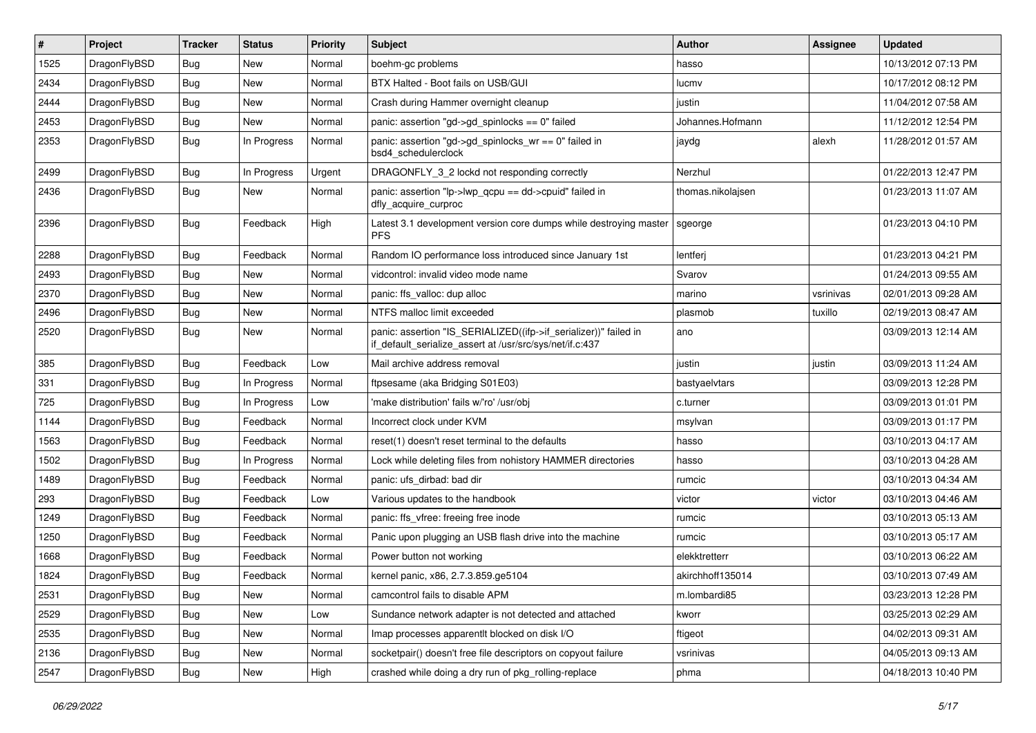| $\vert$ # | Project      | <b>Tracker</b> | <b>Status</b> | <b>Priority</b> | <b>Subject</b>                                                                                                               | <b>Author</b>     | <b>Assignee</b> | <b>Updated</b>      |
|-----------|--------------|----------------|---------------|-----------------|------------------------------------------------------------------------------------------------------------------------------|-------------------|-----------------|---------------------|
| 1525      | DragonFlyBSD | <b>Bug</b>     | New           | Normal          | boehm-gc problems                                                                                                            | hasso             |                 | 10/13/2012 07:13 PM |
| 2434      | DragonFlyBSD | <b>Bug</b>     | New           | Normal          | BTX Halted - Boot fails on USB/GUI                                                                                           | lucmv             |                 | 10/17/2012 08:12 PM |
| 2444      | DragonFlyBSD | <b>Bug</b>     | New           | Normal          | Crash during Hammer overnight cleanup                                                                                        | justin            |                 | 11/04/2012 07:58 AM |
| 2453      | DragonFlyBSD | <b>Bug</b>     | New           | Normal          | panic: assertion "gd->gd_spinlocks == 0" failed                                                                              | Johannes.Hofmann  |                 | 11/12/2012 12:54 PM |
| 2353      | DragonFlyBSD | <b>Bug</b>     | In Progress   | Normal          | panic: assertion "gd->gd_spinlocks_wr == 0" failed in<br>bsd4 schedulerclock                                                 | jaydg             | alexh           | 11/28/2012 01:57 AM |
| 2499      | DragonFlyBSD | <b>Bug</b>     | In Progress   | Urgent          | DRAGONFLY_3_2 lockd not responding correctly                                                                                 | Nerzhul           |                 | 01/22/2013 12:47 PM |
| 2436      | DragonFlyBSD | Bug            | New           | Normal          | panic: assertion "lp->lwp_qcpu == dd->cpuid" failed in<br>dfly_acquire_curproc                                               | thomas.nikolajsen |                 | 01/23/2013 11:07 AM |
| 2396      | DragonFlyBSD | Bug            | Feedback      | High            | Latest 3.1 development version core dumps while destroying master<br><b>PFS</b>                                              | sgeorge           |                 | 01/23/2013 04:10 PM |
| 2288      | DragonFlyBSD | <b>Bug</b>     | Feedback      | Normal          | Random IO performance loss introduced since January 1st                                                                      | lentferj          |                 | 01/23/2013 04:21 PM |
| 2493      | DragonFlyBSD | <b>Bug</b>     | New           | Normal          | vidcontrol: invalid video mode name                                                                                          | Svarov            |                 | 01/24/2013 09:55 AM |
| 2370      | DragonFlyBSD | <b>Bug</b>     | New           | Normal          | panic: ffs valloc: dup alloc                                                                                                 | marino            | vsrinivas       | 02/01/2013 09:28 AM |
| 2496      | DragonFlyBSD | <b>Bug</b>     | New           | Normal          | NTFS malloc limit exceeded                                                                                                   | plasmob           | tuxillo         | 02/19/2013 08:47 AM |
| 2520      | DragonFlyBSD | Bug            | New           | Normal          | panic: assertion "IS_SERIALIZED((ifp->if_serializer))" failed in<br>if_default_serialize_assert at /usr/src/sys/net/if.c:437 | ano               |                 | 03/09/2013 12:14 AM |
| 385       | DragonFlyBSD | <b>Bug</b>     | Feedback      | Low             | Mail archive address removal                                                                                                 | justin            | justin          | 03/09/2013 11:24 AM |
| 331       | DragonFlyBSD | <b>Bug</b>     | In Progress   | Normal          | ftpsesame (aka Bridging S01E03)                                                                                              | bastyaelvtars     |                 | 03/09/2013 12:28 PM |
| 725       | DragonFlyBSD | <b>Bug</b>     | In Progress   | Low             | 'make distribution' fails w/'ro' /usr/obj                                                                                    | c.turner          |                 | 03/09/2013 01:01 PM |
| 1144      | DragonFlyBSD | <b>Bug</b>     | Feedback      | Normal          | Incorrect clock under KVM                                                                                                    | msylvan           |                 | 03/09/2013 01:17 PM |
| 1563      | DragonFlyBSD | <b>Bug</b>     | Feedback      | Normal          | reset(1) doesn't reset terminal to the defaults                                                                              | hasso             |                 | 03/10/2013 04:17 AM |
| 1502      | DragonFlyBSD | <b>Bug</b>     | In Progress   | Normal          | Lock while deleting files from nohistory HAMMER directories                                                                  | hasso             |                 | 03/10/2013 04:28 AM |
| 1489      | DragonFlyBSD | <b>Bug</b>     | Feedback      | Normal          | panic: ufs dirbad: bad dir                                                                                                   | rumcic            |                 | 03/10/2013 04:34 AM |
| 293       | DragonFlyBSD | <b>Bug</b>     | Feedback      | Low             | Various updates to the handbook                                                                                              | victor            | victor          | 03/10/2013 04:46 AM |
| 1249      | DragonFlyBSD | <b>Bug</b>     | Feedback      | Normal          | panic: ffs_vfree: freeing free inode                                                                                         | rumcic            |                 | 03/10/2013 05:13 AM |
| 1250      | DragonFlyBSD | <b>Bug</b>     | Feedback      | Normal          | Panic upon plugging an USB flash drive into the machine                                                                      | rumcic            |                 | 03/10/2013 05:17 AM |
| 1668      | DragonFlyBSD | <b>Bug</b>     | Feedback      | Normal          | Power button not working                                                                                                     | elekktretterr     |                 | 03/10/2013 06:22 AM |
| 1824      | DragonFlyBSD | <b>Bug</b>     | Feedback      | Normal          | kernel panic, x86, 2.7.3.859.ge5104                                                                                          | akirchhoff135014  |                 | 03/10/2013 07:49 AM |
| 2531      | DragonFlyBSD | <b>Bug</b>     | New           | Normal          | camcontrol fails to disable APM                                                                                              | m.lombardi85      |                 | 03/23/2013 12:28 PM |
| 2529      | DragonFlyBSD | <b>Bug</b>     | New           | Low             | Sundance network adapter is not detected and attached                                                                        | kworr             |                 | 03/25/2013 02:29 AM |
| 2535      | DragonFlyBSD | <b>Bug</b>     | New           | Normal          | Imap processes apparentlt blocked on disk I/O                                                                                | ftigeot           |                 | 04/02/2013 09:31 AM |
| 2136      | DragonFlyBSD | <b>Bug</b>     | New           | Normal          | socketpair() doesn't free file descriptors on copyout failure                                                                | vsrinivas         |                 | 04/05/2013 09:13 AM |
| 2547      | DragonFlyBSD | <b>Bug</b>     | New           | High            | crashed while doing a dry run of pkg_rolling-replace                                                                         | phma              |                 | 04/18/2013 10:40 PM |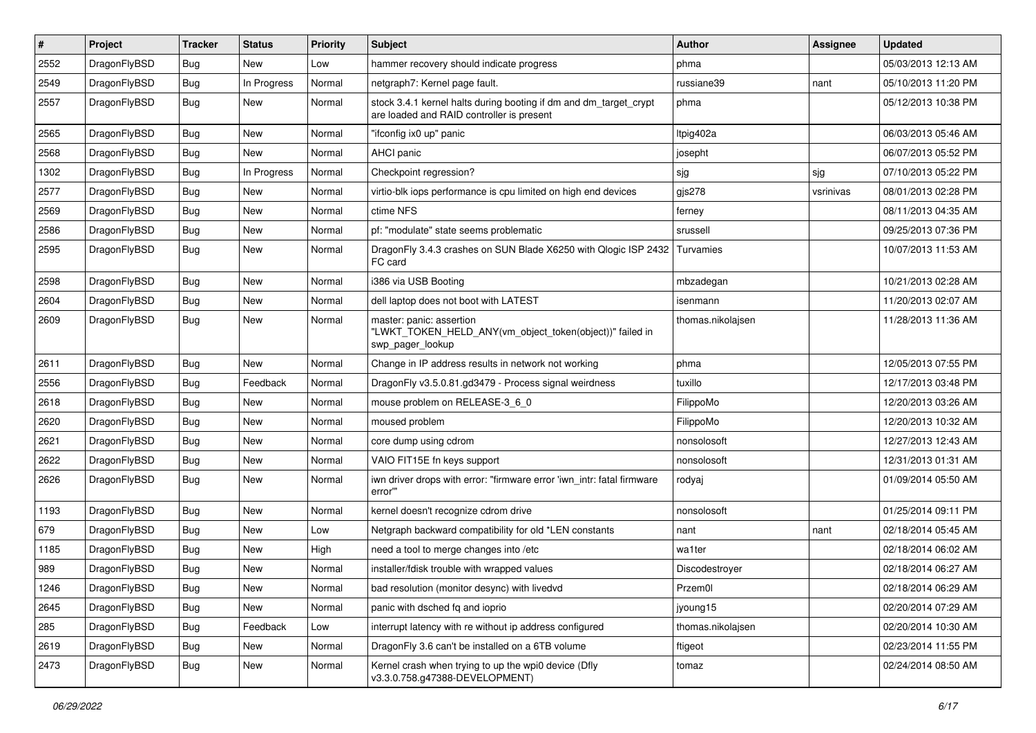| $\sharp$ | Project      | <b>Tracker</b> | <b>Status</b> | <b>Priority</b> | Subject                                                                                                        | Author            | Assignee  | <b>Updated</b>      |
|----------|--------------|----------------|---------------|-----------------|----------------------------------------------------------------------------------------------------------------|-------------------|-----------|---------------------|
| 2552     | DragonFlyBSD | <b>Bug</b>     | New           | Low             | hammer recovery should indicate progress                                                                       | phma              |           | 05/03/2013 12:13 AM |
| 2549     | DragonFlyBSD | Bug            | In Progress   | Normal          | netgraph7: Kernel page fault.                                                                                  | russiane39        | nant      | 05/10/2013 11:20 PM |
| 2557     | DragonFlyBSD | Bug            | New           | Normal          | stock 3.4.1 kernel halts during booting if dm and dm_target_crypt<br>are loaded and RAID controller is present | phma              |           | 05/12/2013 10:38 PM |
| 2565     | DragonFlyBSD | Bug            | <b>New</b>    | Normal          | "ifconfig ix0 up" panic                                                                                        | Itpig402a         |           | 06/03/2013 05:46 AM |
| 2568     | DragonFlyBSD | <b>Bug</b>     | New           | Normal          | AHCI panic                                                                                                     | josepht           |           | 06/07/2013 05:52 PM |
| 1302     | DragonFlyBSD | <b>Bug</b>     | In Progress   | Normal          | Checkpoint regression?                                                                                         | sjg               | sjg       | 07/10/2013 05:22 PM |
| 2577     | DragonFlyBSD | <b>Bug</b>     | New           | Normal          | virtio-blk iops performance is cpu limited on high end devices                                                 | gjs278            | vsrinivas | 08/01/2013 02:28 PM |
| 2569     | DragonFlyBSD | <b>Bug</b>     | New           | Normal          | ctime NFS                                                                                                      | ferney            |           | 08/11/2013 04:35 AM |
| 2586     | DragonFlyBSD | Bug            | <b>New</b>    | Normal          | pf: "modulate" state seems problematic                                                                         | srussell          |           | 09/25/2013 07:36 PM |
| 2595     | DragonFlyBSD | Bug            | New           | Normal          | DragonFly 3.4.3 crashes on SUN Blade X6250 with Qlogic ISP 2432<br>FC card                                     | Turvamies         |           | 10/07/2013 11:53 AM |
| 2598     | DragonFlyBSD | Bug            | <b>New</b>    | Normal          | i386 via USB Booting                                                                                           | mbzadegan         |           | 10/21/2013 02:28 AM |
| 2604     | DragonFlyBSD | <b>Bug</b>     | New           | Normal          | dell laptop does not boot with LATEST                                                                          | isenmann          |           | 11/20/2013 02:07 AM |
| 2609     | DragonFlyBSD | Bug            | New           | Normal          | master: panic: assertion<br>"LWKT_TOKEN_HELD_ANY(vm_object_token(object))" failed in<br>swp_pager_lookup       | thomas.nikolajsen |           | 11/28/2013 11:36 AM |
| 2611     | DragonFlyBSD | Bug            | New           | Normal          | Change in IP address results in network not working                                                            | phma              |           | 12/05/2013 07:55 PM |
| 2556     | DragonFlyBSD | <b>Bug</b>     | Feedback      | Normal          | DragonFly v3.5.0.81.gd3479 - Process signal weirdness                                                          | tuxillo           |           | 12/17/2013 03:48 PM |
| 2618     | DragonFlyBSD | <b>Bug</b>     | New           | Normal          | mouse problem on RELEASE-3_6_0                                                                                 | FilippoMo         |           | 12/20/2013 03:26 AM |
| 2620     | DragonFlyBSD | Bug            | <b>New</b>    | Normal          | moused problem                                                                                                 | FilippoMo         |           | 12/20/2013 10:32 AM |
| 2621     | DragonFlyBSD | <b>Bug</b>     | New           | Normal          | core dump using cdrom                                                                                          | nonsolosoft       |           | 12/27/2013 12:43 AM |
| 2622     | DragonFlyBSD | Bug            | New           | Normal          | VAIO FIT15E fn keys support                                                                                    | nonsolosoft       |           | 12/31/2013 01:31 AM |
| 2626     | DragonFlyBSD | <b>Bug</b>     | <b>New</b>    | Normal          | iwn driver drops with error: "firmware error 'iwn intr: fatal firmware<br>error"                               | rodyaj            |           | 01/09/2014 05:50 AM |
| 1193     | DragonFlyBSD | Bug            | <b>New</b>    | Normal          | kernel doesn't recognize cdrom drive                                                                           | nonsolosoft       |           | 01/25/2014 09:11 PM |
| 679      | DragonFlyBSD | <b>Bug</b>     | New           | Low             | Netgraph backward compatibility for old *LEN constants                                                         | nant              | nant      | 02/18/2014 05:45 AM |
| 1185     | DragonFlyBSD | <b>Bug</b>     | <b>New</b>    | High            | need a tool to merge changes into /etc                                                                         | wa1ter            |           | 02/18/2014 06:02 AM |
| 989      | DragonFlyBSD | <b>Bug</b>     | New           | Normal          | installer/fdisk trouble with wrapped values                                                                    | Discodestroyer    |           | 02/18/2014 06:27 AM |
| 1246     | DragonFlyBSD | <b>Bug</b>     | <b>New</b>    | Normal          | bad resolution (monitor desync) with livedvd                                                                   | Przem0l           |           | 02/18/2014 06:29 AM |
| 2645     | DragonFlyBSD | <b>Bug</b>     | New           | Normal          | panic with dsched fq and ioprio                                                                                | jyoung15          |           | 02/20/2014 07:29 AM |
| 285      | DragonFlyBSD | <b>Bug</b>     | Feedback      | Low             | interrupt latency with re without ip address configured                                                        | thomas.nikolajsen |           | 02/20/2014 10:30 AM |
| 2619     | DragonFlyBSD | <b>Bug</b>     | New           | Normal          | DragonFly 3.6 can't be installed on a 6TB volume                                                               | ftigeot           |           | 02/23/2014 11:55 PM |
| 2473     | DragonFlyBSD | <b>Bug</b>     | New           | Normal          | Kernel crash when trying to up the wpi0 device (Dfly<br>v3.3.0.758.g47388-DEVELOPMENT)                         | tomaz             |           | 02/24/2014 08:50 AM |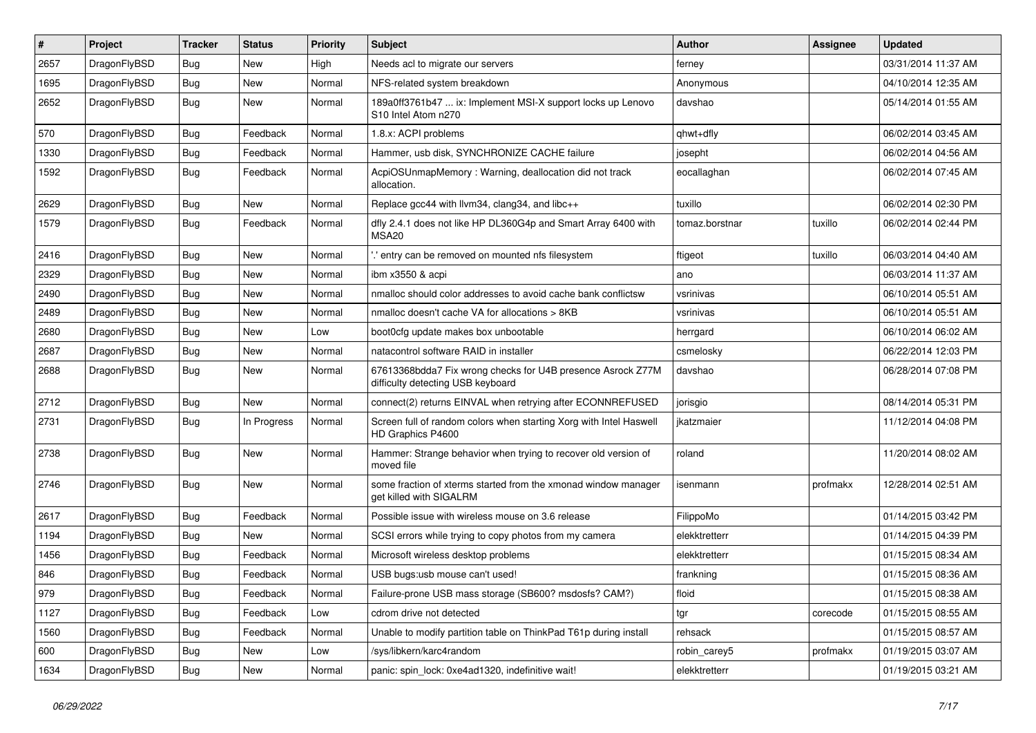| #    | Project      | <b>Tracker</b> | <b>Status</b> | <b>Priority</b> | Subject                                                                                          | <b>Author</b>  | Assignee | <b>Updated</b>      |
|------|--------------|----------------|---------------|-----------------|--------------------------------------------------------------------------------------------------|----------------|----------|---------------------|
| 2657 | DragonFlyBSD | Bug            | New           | High            | Needs acl to migrate our servers                                                                 | ferney         |          | 03/31/2014 11:37 AM |
| 1695 | DragonFlyBSD | Bug            | New           | Normal          | NFS-related system breakdown                                                                     | Anonymous      |          | 04/10/2014 12:35 AM |
| 2652 | DragonFlyBSD | <b>Bug</b>     | New           | Normal          | 189a0ff3761b47  ix: Implement MSI-X support locks up Lenovo<br>S10 Intel Atom n270               | davshao        |          | 05/14/2014 01:55 AM |
| 570  | DragonFlyBSD | Bug            | Feedback      | Normal          | 1.8.x: ACPI problems                                                                             | qhwt+dfly      |          | 06/02/2014 03:45 AM |
| 1330 | DragonFlyBSD | Bug            | Feedback      | Normal          | Hammer, usb disk, SYNCHRONIZE CACHE failure                                                      | josepht        |          | 06/02/2014 04:56 AM |
| 1592 | DragonFlyBSD | Bug            | Feedback      | Normal          | AcpiOSUnmapMemory: Warning, deallocation did not track<br>allocation.                            | eocallaghan    |          | 06/02/2014 07:45 AM |
| 2629 | DragonFlyBSD | Bug            | New           | Normal          | Replace gcc44 with llvm34, clang34, and libc++                                                   | tuxillo        |          | 06/02/2014 02:30 PM |
| 1579 | DragonFlyBSD | Bug            | Feedback      | Normal          | dfly 2.4.1 does not like HP DL360G4p and Smart Array 6400 with<br>MSA <sub>20</sub>              | tomaz.borstnar | tuxillo  | 06/02/2014 02:44 PM |
| 2416 | DragonFlyBSD | Bug            | <b>New</b>    | Normal          | ".' entry can be removed on mounted nfs filesystem                                               | ftigeot        | tuxillo  | 06/03/2014 04:40 AM |
| 2329 | DragonFlyBSD | Bug            | <b>New</b>    | Normal          | ibm x3550 & acpi                                                                                 | ano            |          | 06/03/2014 11:37 AM |
| 2490 | DragonFlyBSD | Bug            | New           | Normal          | nmalloc should color addresses to avoid cache bank conflictsw                                    | vsrinivas      |          | 06/10/2014 05:51 AM |
| 2489 | DragonFlyBSD | Bug            | New           | Normal          | nmalloc doesn't cache VA for allocations > 8KB                                                   | vsrinivas      |          | 06/10/2014 05:51 AM |
| 2680 | DragonFlyBSD | Bug            | New           | Low             | boot0cfg update makes box unbootable                                                             | herrgard       |          | 06/10/2014 06:02 AM |
| 2687 | DragonFlyBSD | Bug            | New           | Normal          | natacontrol software RAID in installer                                                           | csmelosky      |          | 06/22/2014 12:03 PM |
| 2688 | DragonFlyBSD | <b>Bug</b>     | New           | Normal          | 67613368bdda7 Fix wrong checks for U4B presence Asrock Z77M<br>difficulty detecting USB keyboard | davshao        |          | 06/28/2014 07:08 PM |
| 2712 | DragonFlyBSD | Bug            | <b>New</b>    | Normal          | connect(2) returns EINVAL when retrying after ECONNREFUSED                                       | jorisgio       |          | 08/14/2014 05:31 PM |
| 2731 | DragonFlyBSD | Bug            | In Progress   | Normal          | Screen full of random colors when starting Xorg with Intel Haswell<br>HD Graphics P4600          | ikatzmaier     |          | 11/12/2014 04:08 PM |
| 2738 | DragonFlyBSD | Bug            | New           | Normal          | Hammer: Strange behavior when trying to recover old version of<br>moved file                     | roland         |          | 11/20/2014 08:02 AM |
| 2746 | DragonFlyBSD | Bug            | New           | Normal          | some fraction of xterms started from the xmonad window manager<br>get killed with SIGALRM        | isenmann       | profmakx | 12/28/2014 02:51 AM |
| 2617 | DragonFlyBSD | Bug            | Feedback      | Normal          | Possible issue with wireless mouse on 3.6 release                                                | FilippoMo      |          | 01/14/2015 03:42 PM |
| 1194 | DragonFlyBSD | <b>Bug</b>     | <b>New</b>    | Normal          | SCSI errors while trying to copy photos from my camera                                           | elekktretterr  |          | 01/14/2015 04:39 PM |
| 1456 | DragonFlyBSD | Bug            | Feedback      | Normal          | Microsoft wireless desktop problems                                                              | elekktretterr  |          | 01/15/2015 08:34 AM |
| 846  | DragonFlyBSD | Bug            | Feedback      | Normal          | USB bugs:usb mouse can't used!                                                                   | frankning      |          | 01/15/2015 08:36 AM |
| 979  | DragonFlyBSD | Bug            | Feedback      | Normal          | Failure-prone USB mass storage (SB600? msdosfs? CAM?)                                            | floid          |          | 01/15/2015 08:38 AM |
| 1127 | DragonFlyBSD | <b>Bug</b>     | Feedback      | Low             | cdrom drive not detected                                                                         | tgr            | corecode | 01/15/2015 08:55 AM |
| 1560 | DragonFlyBSD | <b>Bug</b>     | Feedback      | Normal          | Unable to modify partition table on ThinkPad T61p during install                                 | rehsack        |          | 01/15/2015 08:57 AM |
| 600  | DragonFlyBSD | <b>Bug</b>     | <b>New</b>    | Low             | /sys/libkern/karc4random                                                                         | robin_carey5   | profmakx | 01/19/2015 03:07 AM |
| 1634 | DragonFlyBSD | <b>Bug</b>     | New           | Normal          | panic: spin_lock: 0xe4ad1320, indefinitive wait!                                                 | elekktretterr  |          | 01/19/2015 03:21 AM |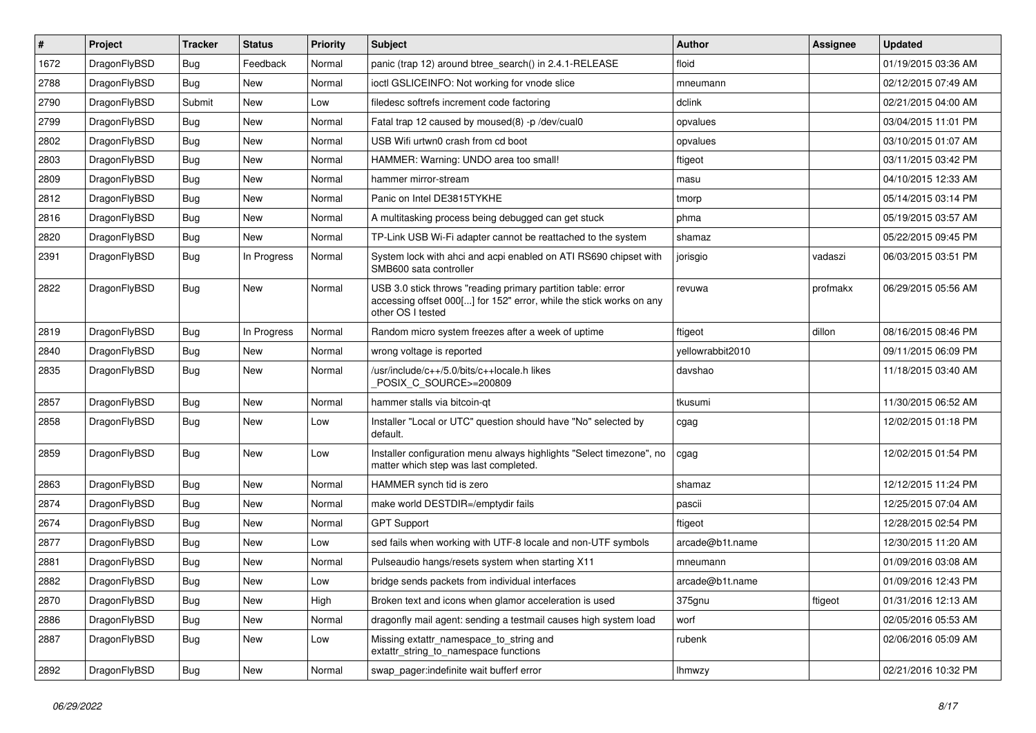| $\sharp$ | Project      | <b>Tracker</b> | <b>Status</b> | <b>Priority</b> | Subject                                                                                                                                                  | Author           | Assignee | <b>Updated</b>      |
|----------|--------------|----------------|---------------|-----------------|----------------------------------------------------------------------------------------------------------------------------------------------------------|------------------|----------|---------------------|
| 1672     | DragonFlyBSD | Bug            | Feedback      | Normal          | panic (trap 12) around btree_search() in 2.4.1-RELEASE                                                                                                   | floid            |          | 01/19/2015 03:36 AM |
| 2788     | DragonFlyBSD | Bug            | New           | Normal          | ioctl GSLICEINFO: Not working for vnode slice                                                                                                            | mneumann         |          | 02/12/2015 07:49 AM |
| 2790     | DragonFlyBSD | Submit         | New           | Low             | filedesc softrefs increment code factoring                                                                                                               | dclink           |          | 02/21/2015 04:00 AM |
| 2799     | DragonFlyBSD | Bug            | New           | Normal          | Fatal trap 12 caused by moused(8) -p/dev/cual0                                                                                                           | opvalues         |          | 03/04/2015 11:01 PM |
| 2802     | DragonFlyBSD | Bug            | <b>New</b>    | Normal          | USB Wifi urtwn0 crash from cd boot                                                                                                                       | opvalues         |          | 03/10/2015 01:07 AM |
| 2803     | DragonFlyBSD | Bug            | <b>New</b>    | Normal          | HAMMER: Warning: UNDO area too small!                                                                                                                    | ftigeot          |          | 03/11/2015 03:42 PM |
| 2809     | DragonFlyBSD | Bug            | New           | Normal          | hammer mirror-stream                                                                                                                                     | masu             |          | 04/10/2015 12:33 AM |
| 2812     | DragonFlyBSD | Bug            | <b>New</b>    | Normal          | Panic on Intel DE3815TYKHE                                                                                                                               | tmorp            |          | 05/14/2015 03:14 PM |
| 2816     | DragonFlyBSD | Bug            | New           | Normal          | A multitasking process being debugged can get stuck                                                                                                      | phma             |          | 05/19/2015 03:57 AM |
| 2820     | DragonFlyBSD | Bug            | New           | Normal          | TP-Link USB Wi-Fi adapter cannot be reattached to the system                                                                                             | shamaz           |          | 05/22/2015 09:45 PM |
| 2391     | DragonFlyBSD | Bug            | In Progress   | Normal          | System lock with ahci and acpi enabled on ATI RS690 chipset with<br>SMB600 sata controller                                                               | jorisgio         | vadaszi  | 06/03/2015 03:51 PM |
| 2822     | DragonFlyBSD | <b>Bug</b>     | <b>New</b>    | Normal          | USB 3.0 stick throws "reading primary partition table: error<br>accessing offset 000[] for 152" error, while the stick works on any<br>other OS I tested | revuwa           | profmakx | 06/29/2015 05:56 AM |
| 2819     | DragonFlyBSD | Bug            | In Progress   | Normal          | Random micro system freezes after a week of uptime                                                                                                       | ftigeot          | dillon   | 08/16/2015 08:46 PM |
| 2840     | DragonFlyBSD | Bug            | <b>New</b>    | Normal          | wrong voltage is reported                                                                                                                                | yellowrabbit2010 |          | 09/11/2015 06:09 PM |
| 2835     | DragonFlyBSD | <b>Bug</b>     | New           | Normal          | /usr/include/c++/5.0/bits/c++locale.h likes<br>POSIX C SOURCE>=200809                                                                                    | davshao          |          | 11/18/2015 03:40 AM |
| 2857     | DragonFlyBSD | Bug            | New           | Normal          | hammer stalls via bitcoin-qt                                                                                                                             | tkusumi          |          | 11/30/2015 06:52 AM |
| 2858     | DragonFlyBSD | Bug            | New           | Low             | Installer "Local or UTC" question should have "No" selected by<br>default.                                                                               | cgag             |          | 12/02/2015 01:18 PM |
| 2859     | DragonFlyBSD | Bug            | New           | Low             | Installer configuration menu always highlights "Select timezone", no<br>matter which step was last completed.                                            | cgag             |          | 12/02/2015 01:54 PM |
| 2863     | DragonFlyBSD | Bug            | <b>New</b>    | Normal          | HAMMER synch tid is zero                                                                                                                                 | shamaz           |          | 12/12/2015 11:24 PM |
| 2874     | DragonFlyBSD | Bug            | New           | Normal          | make world DESTDIR=/emptydir fails                                                                                                                       | pascii           |          | 12/25/2015 07:04 AM |
| 2674     | DragonFlyBSD | Bug            | <b>New</b>    | Normal          | <b>GPT Support</b>                                                                                                                                       | ftigeot          |          | 12/28/2015 02:54 PM |
| 2877     | DragonFlyBSD | Bug            | New           | Low             | sed fails when working with UTF-8 locale and non-UTF symbols                                                                                             | arcade@b1t.name  |          | 12/30/2015 11:20 AM |
| 2881     | DragonFlyBSD | Bug            | <b>New</b>    | Normal          | Pulseaudio hangs/resets system when starting X11                                                                                                         | mneumann         |          | 01/09/2016 03:08 AM |
| 2882     | DragonFlyBSD | Bug            | <b>New</b>    | Low             | bridge sends packets from individual interfaces                                                                                                          | arcade@b1t.name  |          | 01/09/2016 12:43 PM |
| 2870     | DragonFlyBSD | Bug            | New           | High            | Broken text and icons when glamor acceleration is used                                                                                                   | 375gnu           | ftigeot  | 01/31/2016 12:13 AM |
| 2886     | DragonFlyBSD | Bug            | New           | Normal          | dragonfly mail agent: sending a testmail causes high system load                                                                                         | worf             |          | 02/05/2016 05:53 AM |
| 2887     | DragonFlyBSD | <b>Bug</b>     | New           | Low             | Missing extattr_namespace_to_string and<br>extattr_string_to_namespace functions                                                                         | rubenk           |          | 02/06/2016 05:09 AM |
| 2892     | DragonFlyBSD | <b>Bug</b>     | New           | Normal          | swap_pager:indefinite wait bufferf error                                                                                                                 | <b>Ihmwzy</b>    |          | 02/21/2016 10:32 PM |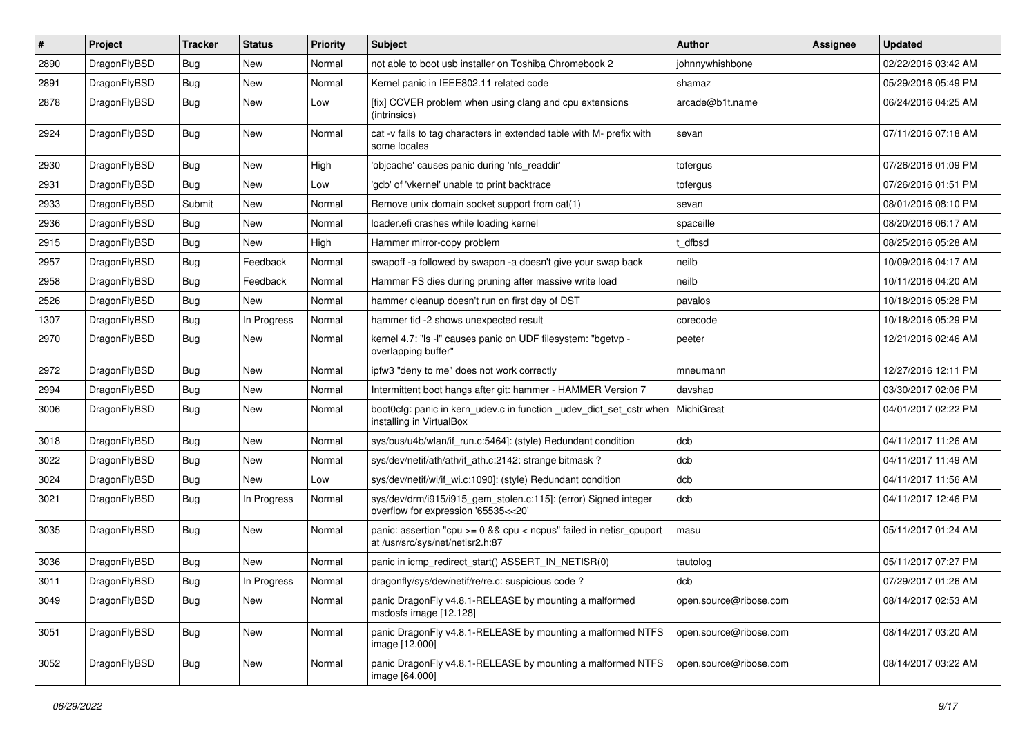| $\pmb{\#}$ | Project      | <b>Tracker</b> | <b>Status</b> | <b>Priority</b> | Subject                                                                                                      | <b>Author</b>          | Assignee | <b>Updated</b>      |
|------------|--------------|----------------|---------------|-----------------|--------------------------------------------------------------------------------------------------------------|------------------------|----------|---------------------|
| 2890       | DragonFlyBSD | Bug            | New           | Normal          | not able to boot usb installer on Toshiba Chromebook 2                                                       | johnnywhishbone        |          | 02/22/2016 03:42 AM |
| 2891       | DragonFlyBSD | <b>Bug</b>     | <b>New</b>    | Normal          | Kernel panic in IEEE802.11 related code                                                                      | shamaz                 |          | 05/29/2016 05:49 PM |
| 2878       | DragonFlyBSD | Bug            | New           | Low             | [fix] CCVER problem when using clang and cpu extensions<br>(intrinsics)                                      | arcade@b1t.name        |          | 06/24/2016 04:25 AM |
| 2924       | DragonFlyBSD | Bug            | New           | Normal          | cat -v fails to tag characters in extended table with M- prefix with<br>some locales                         | sevan                  |          | 07/11/2016 07:18 AM |
| 2930       | DragonFlyBSD | Bug            | <b>New</b>    | High            | 'objcache' causes panic during 'nfs_readdir'                                                                 | tofergus               |          | 07/26/2016 01:09 PM |
| 2931       | DragonFlyBSD | Bug            | New           | Low             | 'gdb' of 'vkernel' unable to print backtrace                                                                 | tofergus               |          | 07/26/2016 01:51 PM |
| 2933       | DragonFlyBSD | Submit         | <b>New</b>    | Normal          | Remove unix domain socket support from cat(1)                                                                | sevan                  |          | 08/01/2016 08:10 PM |
| 2936       | DragonFlyBSD | Bug            | <b>New</b>    | Normal          | loader.efi crashes while loading kernel                                                                      | spaceille              |          | 08/20/2016 06:17 AM |
| 2915       | DragonFlyBSD | Bug            | New           | High            | Hammer mirror-copy problem                                                                                   | dfbsd                  |          | 08/25/2016 05:28 AM |
| 2957       | DragonFlyBSD | Bug            | Feedback      | Normal          | swapoff-a followed by swapon-a doesn't give your swap back                                                   | neilb                  |          | 10/09/2016 04:17 AM |
| 2958       | DragonFlyBSD | Bug            | Feedback      | Normal          | Hammer FS dies during pruning after massive write load                                                       | neilb                  |          | 10/11/2016 04:20 AM |
| 2526       | DragonFlyBSD | Bug            | New           | Normal          | hammer cleanup doesn't run on first day of DST                                                               | pavalos                |          | 10/18/2016 05:28 PM |
| 1307       | DragonFlyBSD | Bug            | In Progress   | Normal          | hammer tid -2 shows unexpected result                                                                        | corecode               |          | 10/18/2016 05:29 PM |
| 2970       | DragonFlyBSD | Bug            | <b>New</b>    | Normal          | kernel 4.7: "Is -I" causes panic on UDF filesystem: "bgetvp -<br>overlapping buffer"                         | peeter                 |          | 12/21/2016 02:46 AM |
| 2972       | DragonFlyBSD | Bug            | <b>New</b>    | Normal          | ipfw3 "deny to me" does not work correctly                                                                   | mneumann               |          | 12/27/2016 12:11 PM |
| 2994       | DragonFlyBSD | Bug            | New           | Normal          | Intermittent boot hangs after git: hammer - HAMMER Version 7                                                 | davshao                |          | 03/30/2017 02:06 PM |
| 3006       | DragonFlyBSD | Bug            | New           | Normal          | boot0cfg: panic in kern_udev.c in function _udev_dict_set_cstr when   MichiGreat<br>installing in VirtualBox |                        |          | 04/01/2017 02:22 PM |
| 3018       | DragonFlyBSD | Bug            | <b>New</b>    | Normal          | sys/bus/u4b/wlan/if_run.c:5464]: (style) Redundant condition                                                 | dcb                    |          | 04/11/2017 11:26 AM |
| 3022       | DragonFlyBSD | <b>Bug</b>     | New           | Normal          | sys/dev/netif/ath/ath/if_ath.c:2142: strange bitmask?                                                        | dcb                    |          | 04/11/2017 11:49 AM |
| 3024       | DragonFlyBSD | Bug            | New           | Low             | sys/dev/netif/wi/if_wi.c:1090]: (style) Redundant condition                                                  | dcb                    |          | 04/11/2017 11:56 AM |
| 3021       | DragonFlyBSD | Bug            | In Progress   | Normal          | sys/dev/drm/i915/i915_gem_stolen.c:115]: (error) Signed integer<br>overflow for expression '65535<<20'       | dcb                    |          | 04/11/2017 12:46 PM |
| 3035       | DragonFlyBSD | Bug            | New           | Normal          | panic: assertion "cpu $>= 0$ && cpu < ncpus" failed in netisr cpuport<br>at /usr/src/sys/net/netisr2.h:87    | masu                   |          | 05/11/2017 01:24 AM |
| 3036       | DragonFlyBSD | <b>Bug</b>     | <b>New</b>    | Normal          | panic in icmp redirect start() ASSERT IN NETISR(0)                                                           | tautolog               |          | 05/11/2017 07:27 PM |
| 3011       | DragonFlyBSD | Bug            | In Progress   | Normal          | dragonfly/sys/dev/netif/re/re.c: suspicious code?                                                            | dcb                    |          | 07/29/2017 01:26 AM |
| 3049       | DragonFlyBSD | Bug            | New           | Normal          | panic DragonFly v4.8.1-RELEASE by mounting a malformed<br>msdosfs image [12.128]                             | open.source@ribose.com |          | 08/14/2017 02:53 AM |
| 3051       | DragonFlyBSD | <b>Bug</b>     | New           | Normal          | panic DragonFly v4.8.1-RELEASE by mounting a malformed NTFS<br>image [12.000]                                | open.source@ribose.com |          | 08/14/2017 03:20 AM |
| 3052       | DragonFlyBSD | Bug            | New           | Normal          | panic DragonFly v4.8.1-RELEASE by mounting a malformed NTFS<br>image [64.000]                                | open.source@ribose.com |          | 08/14/2017 03:22 AM |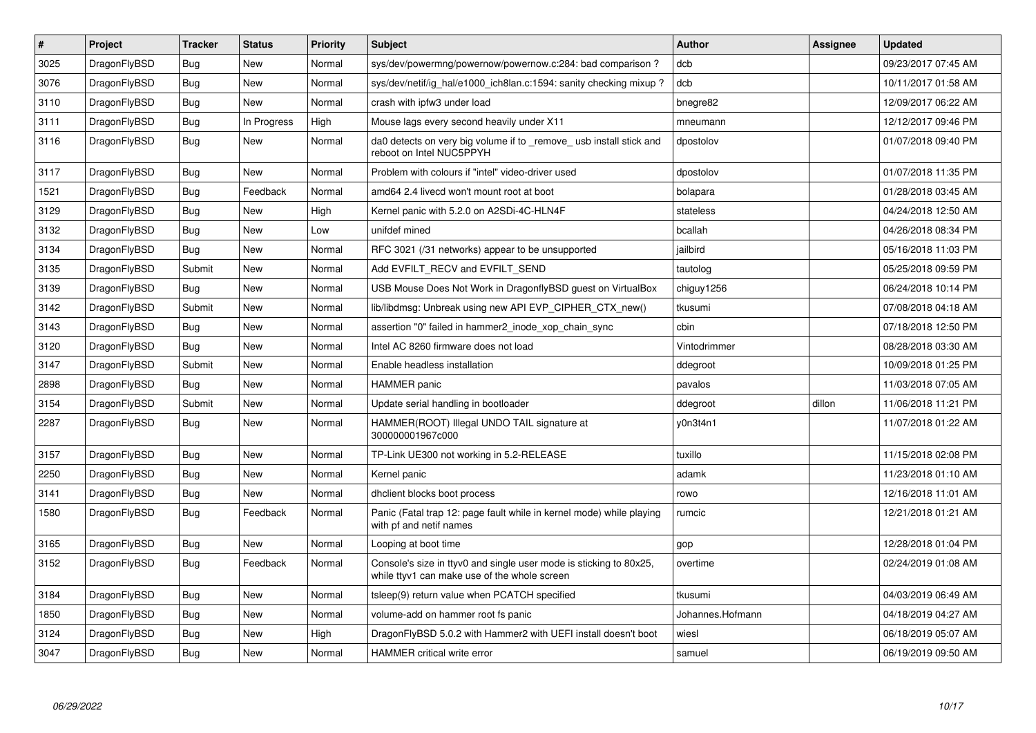| $\vert$ # | Project      | <b>Tracker</b> | <b>Status</b> | <b>Priority</b> | <b>Subject</b>                                                                                                     | Author           | Assignee | <b>Updated</b>      |
|-----------|--------------|----------------|---------------|-----------------|--------------------------------------------------------------------------------------------------------------------|------------------|----------|---------------------|
| 3025      | DragonFlyBSD | Bug            | <b>New</b>    | Normal          | sys/dev/powermng/powernow/powernow.c:284: bad comparison?                                                          | dcb              |          | 09/23/2017 07:45 AM |
| 3076      | DragonFlyBSD | <b>Bug</b>     | <b>New</b>    | Normal          | sys/dev/netif/ig_hal/e1000_ich8lan.c:1594: sanity checking mixup?                                                  | dcb              |          | 10/11/2017 01:58 AM |
| 3110      | DragonFlyBSD | <b>Bug</b>     | <b>New</b>    | Normal          | crash with ipfw3 under load                                                                                        | bnegre82         |          | 12/09/2017 06:22 AM |
| 3111      | DragonFlyBSD | <b>Bug</b>     | In Progress   | High            | Mouse lags every second heavily under X11                                                                          | mneumann         |          | 12/12/2017 09:46 PM |
| 3116      | DragonFlyBSD | Bug            | New           | Normal          | da0 detects on very big volume if to remove usb install stick and<br>reboot on Intel NUC5PPYH                      | dpostolov        |          | 01/07/2018 09:40 PM |
| 3117      | DragonFlyBSD | <b>Bug</b>     | <b>New</b>    | Normal          | Problem with colours if "intel" video-driver used                                                                  | dpostolov        |          | 01/07/2018 11:35 PM |
| 1521      | DragonFlyBSD | Bug            | Feedback      | Normal          | amd64 2.4 livecd won't mount root at boot                                                                          | bolapara         |          | 01/28/2018 03:45 AM |
| 3129      | DragonFlyBSD | Bug            | <b>New</b>    | High            | Kernel panic with 5.2.0 on A2SDi-4C-HLN4F                                                                          | stateless        |          | 04/24/2018 12:50 AM |
| 3132      | DragonFlyBSD | <b>Bug</b>     | <b>New</b>    | Low             | unifdef mined                                                                                                      | bcallah          |          | 04/26/2018 08:34 PM |
| 3134      | DragonFlyBSD | <b>Bug</b>     | <b>New</b>    | Normal          | RFC 3021 (/31 networks) appear to be unsupported                                                                   | jailbird         |          | 05/16/2018 11:03 PM |
| 3135      | DragonFlyBSD | Submit         | New           | Normal          | Add EVFILT RECV and EVFILT SEND                                                                                    | tautolog         |          | 05/25/2018 09:59 PM |
| 3139      | DragonFlyBSD | Bug            | <b>New</b>    | Normal          | USB Mouse Does Not Work in DragonflyBSD guest on VirtualBox                                                        | chiguy1256       |          | 06/24/2018 10:14 PM |
| 3142      | DragonFlyBSD | Submit         | <b>New</b>    | Normal          | lib/libdmsg: Unbreak using new API EVP CIPHER CTX new()                                                            | tkusumi          |          | 07/08/2018 04:18 AM |
| 3143      | DragonFlyBSD | <b>Bug</b>     | <b>New</b>    | Normal          | assertion "0" failed in hammer2 inode xop chain sync                                                               | cbin             |          | 07/18/2018 12:50 PM |
| 3120      | DragonFlyBSD | Bug            | <b>New</b>    | Normal          | Intel AC 8260 firmware does not load                                                                               | Vintodrimmer     |          | 08/28/2018 03:30 AM |
| 3147      | DragonFlyBSD | Submit         | New           | Normal          | Enable headless installation                                                                                       | ddegroot         |          | 10/09/2018 01:25 PM |
| 2898      | DragonFlyBSD | <b>Bug</b>     | <b>New</b>    | Normal          | <b>HAMMER</b> panic                                                                                                | pavalos          |          | 11/03/2018 07:05 AM |
| 3154      | DragonFlyBSD | Submit         | <b>New</b>    | Normal          | Update serial handling in bootloader                                                                               | ddegroot         | dillon   | 11/06/2018 11:21 PM |
| 2287      | DragonFlyBSD | Bug            | <b>New</b>    | Normal          | HAMMER(ROOT) Illegal UNDO TAIL signature at<br>300000001967c000                                                    | y0n3t4n1         |          | 11/07/2018 01:22 AM |
| 3157      | DragonFlyBSD | Bug            | <b>New</b>    | Normal          | TP-Link UE300 not working in 5.2-RELEASE                                                                           | tuxillo          |          | 11/15/2018 02:08 PM |
| 2250      | DragonFlyBSD | <b>Bug</b>     | New           | Normal          | Kernel panic                                                                                                       | adamk            |          | 11/23/2018 01:10 AM |
| 3141      | DragonFlyBSD | <b>Bug</b>     | New           | Normal          | dhclient blocks boot process                                                                                       | rowo             |          | 12/16/2018 11:01 AM |
| 1580      | DragonFlyBSD | Bug            | Feedback      | Normal          | Panic (Fatal trap 12: page fault while in kernel mode) while playing<br>with pf and netif names                    | rumcic           |          | 12/21/2018 01:21 AM |
| 3165      | DragonFlyBSD | Bug            | New           | Normal          | Looping at boot time                                                                                               | gop              |          | 12/28/2018 01:04 PM |
| 3152      | DragonFlyBSD | <b>Bug</b>     | Feedback      | Normal          | Console's size in ttyv0 and single user mode is sticking to 80x25,<br>while ttyv1 can make use of the whole screen | overtime         |          | 02/24/2019 01:08 AM |
| 3184      | DragonFlyBSD | Bug            | <b>New</b>    | Normal          | tsleep(9) return value when PCATCH specified                                                                       | tkusumi          |          | 04/03/2019 06:49 AM |
| 1850      | DragonFlyBSD | <b>Bug</b>     | <b>New</b>    | Normal          | volume-add on hammer root fs panic                                                                                 | Johannes.Hofmann |          | 04/18/2019 04:27 AM |
| 3124      | DragonFlyBSD | Bug            | <b>New</b>    | High            | DragonFlyBSD 5.0.2 with Hammer2 with UEFI install doesn't boot                                                     | wiesl            |          | 06/18/2019 05:07 AM |
| 3047      | DragonFlyBSD | Bug            | <b>New</b>    | Normal          | HAMMER critical write error                                                                                        | samuel           |          | 06/19/2019 09:50 AM |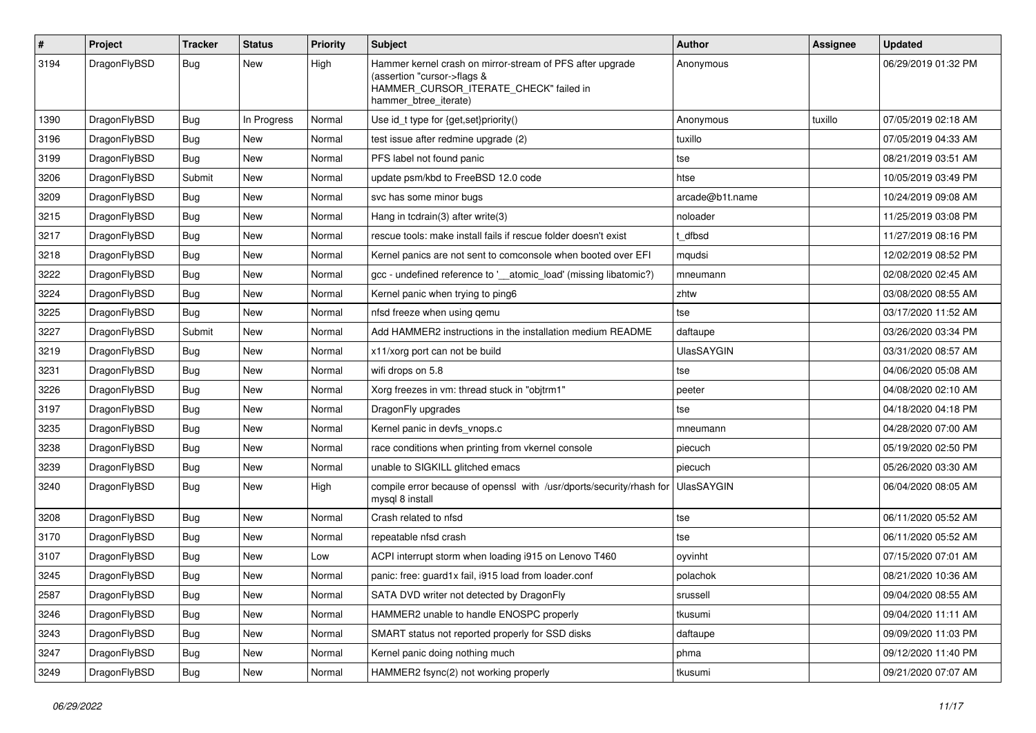| $\sharp$ | Project      | <b>Tracker</b> | <b>Status</b> | <b>Priority</b> | Subject                                                                                                                                                     | <b>Author</b>     | Assignee | <b>Updated</b>      |
|----------|--------------|----------------|---------------|-----------------|-------------------------------------------------------------------------------------------------------------------------------------------------------------|-------------------|----------|---------------------|
| 3194     | DragonFlyBSD | Bug            | New           | High            | Hammer kernel crash on mirror-stream of PFS after upgrade<br>(assertion "cursor->flags &<br>HAMMER_CURSOR_ITERATE_CHECK" failed in<br>hammer_btree_iterate) | Anonymous         |          | 06/29/2019 01:32 PM |
| 1390     | DragonFlyBSD | Bug            | In Progress   | Normal          | Use id_t type for {get,set}priority()                                                                                                                       | Anonymous         | tuxillo  | 07/05/2019 02:18 AM |
| 3196     | DragonFlyBSD | <b>Bug</b>     | New           | Normal          | test issue after redmine upgrade (2)                                                                                                                        | tuxillo           |          | 07/05/2019 04:33 AM |
| 3199     | DragonFlyBSD | Bug            | <b>New</b>    | Normal          | PFS label not found panic                                                                                                                                   | tse               |          | 08/21/2019 03:51 AM |
| 3206     | DragonFlyBSD | Submit         | New           | Normal          | update psm/kbd to FreeBSD 12.0 code                                                                                                                         | htse              |          | 10/05/2019 03:49 PM |
| 3209     | DragonFlyBSD | <b>Bug</b>     | <b>New</b>    | Normal          | svc has some minor bugs                                                                                                                                     | arcade@b1t.name   |          | 10/24/2019 09:08 AM |
| 3215     | DragonFlyBSD | Bug            | <b>New</b>    | Normal          | Hang in tcdrain(3) after write(3)                                                                                                                           | noloader          |          | 11/25/2019 03:08 PM |
| 3217     | DragonFlyBSD | <b>Bug</b>     | New           | Normal          | rescue tools: make install fails if rescue folder doesn't exist                                                                                             | t dfbsd           |          | 11/27/2019 08:16 PM |
| 3218     | DragonFlyBSD | <b>Bug</b>     | <b>New</b>    | Normal          | Kernel panics are not sent to comconsole when booted over EFI                                                                                               | mqudsi            |          | 12/02/2019 08:52 PM |
| 3222     | DragonFlyBSD | <b>Bug</b>     | <b>New</b>    | Normal          | gcc - undefined reference to '__atomic_load' (missing libatomic?)                                                                                           | mneumann          |          | 02/08/2020 02:45 AM |
| 3224     | DragonFlyBSD | <b>Bug</b>     | New           | Normal          | Kernel panic when trying to ping6                                                                                                                           | zhtw              |          | 03/08/2020 08:55 AM |
| 3225     | DragonFlyBSD | <b>Bug</b>     | <b>New</b>    | Normal          | nfsd freeze when using qemu                                                                                                                                 | tse               |          | 03/17/2020 11:52 AM |
| 3227     | DragonFlyBSD | Submit         | <b>New</b>    | Normal          | Add HAMMER2 instructions in the installation medium README                                                                                                  | daftaupe          |          | 03/26/2020 03:34 PM |
| 3219     | DragonFlyBSD | <b>Bug</b>     | New           | Normal          | x11/xorg port can not be build                                                                                                                              | <b>UlasSAYGIN</b> |          | 03/31/2020 08:57 AM |
| 3231     | DragonFlyBSD | Bug            | <b>New</b>    | Normal          | wifi drops on 5.8                                                                                                                                           | tse               |          | 04/06/2020 05:08 AM |
| 3226     | DragonFlyBSD | <b>Bug</b>     | New           | Normal          | Xorg freezes in vm: thread stuck in "objtrm1"                                                                                                               | peeter            |          | 04/08/2020 02:10 AM |
| 3197     | DragonFlyBSD | Bug            | <b>New</b>    | Normal          | DragonFly upgrades                                                                                                                                          | tse               |          | 04/18/2020 04:18 PM |
| 3235     | DragonFlyBSD | <b>Bug</b>     | <b>New</b>    | Normal          | Kernel panic in devfs vnops.c                                                                                                                               | mneumann          |          | 04/28/2020 07:00 AM |
| 3238     | DragonFlyBSD | <b>Bug</b>     | New           | Normal          | race conditions when printing from vkernel console                                                                                                          | piecuch           |          | 05/19/2020 02:50 PM |
| 3239     | DragonFlyBSD | Bug            | <b>New</b>    | Normal          | unable to SIGKILL glitched emacs                                                                                                                            | piecuch           |          | 05/26/2020 03:30 AM |
| 3240     | DragonFlyBSD | <b>Bug</b>     | New           | High            | compile error because of openssl with /usr/dports/security/rhash for<br>mysql 8 install                                                                     | <b>UlasSAYGIN</b> |          | 06/04/2020 08:05 AM |
| 3208     | DragonFlyBSD | <b>Bug</b>     | <b>New</b>    | Normal          | Crash related to nfsd                                                                                                                                       | tse               |          | 06/11/2020 05:52 AM |
| 3170     | DragonFlyBSD | <b>Bug</b>     | New           | Normal          | repeatable nfsd crash                                                                                                                                       | tse               |          | 06/11/2020 05:52 AM |
| 3107     | DragonFlyBSD | <b>Bug</b>     | <b>New</b>    | Low             | ACPI interrupt storm when loading i915 on Lenovo T460                                                                                                       | oyvinht           |          | 07/15/2020 07:01 AM |
| 3245     | DragonFlyBSD | <b>Bug</b>     | <b>New</b>    | Normal          | panic: free: guard1x fail, i915 load from loader.conf                                                                                                       | polachok          |          | 08/21/2020 10:36 AM |
| 2587     | DragonFlyBSD | <b>Bug</b>     | New           | Normal          | SATA DVD writer not detected by DragonFly                                                                                                                   | srussell          |          | 09/04/2020 08:55 AM |
| 3246     | DragonFlyBSD | <b>Bug</b>     | New           | Normal          | HAMMER2 unable to handle ENOSPC properly                                                                                                                    | tkusumi           |          | 09/04/2020 11:11 AM |
| 3243     | DragonFlyBSD | <b>Bug</b>     | New           | Normal          | SMART status not reported properly for SSD disks                                                                                                            | daftaupe          |          | 09/09/2020 11:03 PM |
| 3247     | DragonFlyBSD | <b>Bug</b>     | New           | Normal          | Kernel panic doing nothing much                                                                                                                             | phma              |          | 09/12/2020 11:40 PM |
| 3249     | DragonFlyBSD | <b>Bug</b>     | New           | Normal          | HAMMER2 fsync(2) not working properly                                                                                                                       | tkusumi           |          | 09/21/2020 07:07 AM |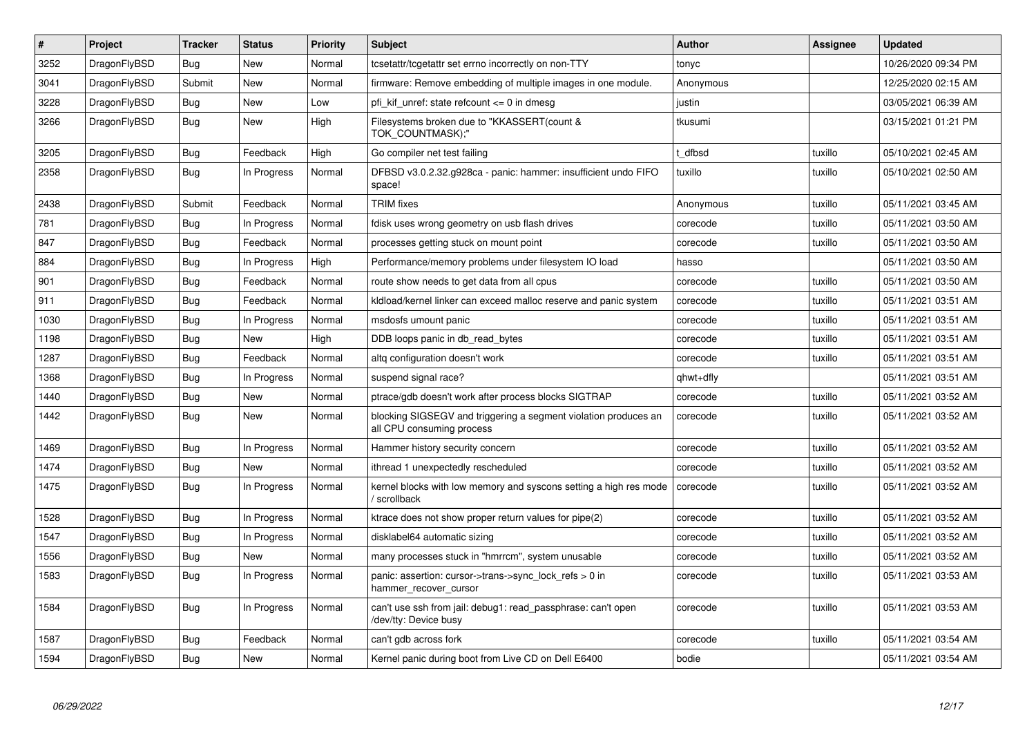| #    | Project      | Tracker    | <b>Status</b> | <b>Priority</b> | <b>Subject</b>                                                                               | Author    | Assignee | Updated             |
|------|--------------|------------|---------------|-----------------|----------------------------------------------------------------------------------------------|-----------|----------|---------------------|
| 3252 | DragonFlyBSD | <b>Bug</b> | <b>New</b>    | Normal          | tcsetattr/tcgetattr set errno incorrectly on non-TTY                                         | tonyc     |          | 10/26/2020 09:34 PM |
| 3041 | DragonFlyBSD | Submit     | <b>New</b>    | Normal          | firmware: Remove embedding of multiple images in one module.                                 | Anonymous |          | 12/25/2020 02:15 AM |
| 3228 | DragonFlyBSD | Bug        | <b>New</b>    | Low             | pfi kif unref: state refcount $\leq 0$ in dmesg                                              | justin    |          | 03/05/2021 06:39 AM |
| 3266 | DragonFlyBSD | <b>Bug</b> | <b>New</b>    | High            | Filesystems broken due to "KKASSERT(count &<br>TOK_COUNTMASK);"                              | tkusumi   |          | 03/15/2021 01:21 PM |
| 3205 | DragonFlyBSD | Bug        | Feedback      | High            | Go compiler net test failing                                                                 | t dfbsd   | tuxillo  | 05/10/2021 02:45 AM |
| 2358 | DragonFlyBSD | Bug        | In Progress   | Normal          | DFBSD v3.0.2.32.g928ca - panic: hammer: insufficient undo FIFO<br>space!                     | tuxillo   | tuxillo  | 05/10/2021 02:50 AM |
| 2438 | DragonFlyBSD | Submit     | Feedback      | Normal          | <b>TRIM</b> fixes                                                                            | Anonymous | tuxillo  | 05/11/2021 03:45 AM |
| 781  | DragonFlyBSD | <b>Bug</b> | In Progress   | Normal          | fdisk uses wrong geometry on usb flash drives                                                | corecode  | tuxillo  | 05/11/2021 03:50 AM |
| 847  | DragonFlyBSD | Bug        | Feedback      | Normal          | processes getting stuck on mount point                                                       | corecode  | tuxillo  | 05/11/2021 03:50 AM |
| 884  | DragonFlyBSD | <b>Bug</b> | In Progress   | High            | Performance/memory problems under filesystem IO load                                         | hasso     |          | 05/11/2021 03:50 AM |
| 901  | DragonFlyBSD | Bug        | Feedback      | Normal          | route show needs to get data from all cpus                                                   | corecode  | tuxillo  | 05/11/2021 03:50 AM |
| 911  | DragonFlyBSD | <b>Bug</b> | Feedback      | Normal          | kldload/kernel linker can exceed malloc reserve and panic system                             | corecode  | tuxillo  | 05/11/2021 03:51 AM |
| 1030 | DragonFlyBSD | <b>Bug</b> | In Progress   | Normal          | msdosfs umount panic                                                                         | corecode  | tuxillo  | 05/11/2021 03:51 AM |
| 1198 | DragonFlyBSD | <b>Bug</b> | <b>New</b>    | High            | DDB loops panic in db_read_bytes                                                             | corecode  | tuxillo  | 05/11/2021 03:51 AM |
| 1287 | DragonFlyBSD | Bug        | Feedback      | Normal          | altg configuration doesn't work                                                              | corecode  | tuxillo  | 05/11/2021 03:51 AM |
| 1368 | DragonFlyBSD | <b>Bug</b> | In Progress   | Normal          | suspend signal race?                                                                         | qhwt+dfly |          | 05/11/2021 03:51 AM |
| 1440 | DragonFlyBSD | Bug        | <b>New</b>    | Normal          | ptrace/gdb doesn't work after process blocks SIGTRAP                                         | corecode  | tuxillo  | 05/11/2021 03:52 AM |
| 1442 | DragonFlyBSD | <b>Bug</b> | <b>New</b>    | Normal          | blocking SIGSEGV and triggering a segment violation produces an<br>all CPU consuming process | corecode  | tuxillo  | 05/11/2021 03:52 AM |
| 1469 | DragonFlyBSD | <b>Bug</b> | In Progress   | Normal          | Hammer history security concern                                                              | corecode  | tuxillo  | 05/11/2021 03:52 AM |
| 1474 | DragonFlyBSD | Bug        | <b>New</b>    | Normal          | ithread 1 unexpectedly rescheduled                                                           | corecode  | tuxillo  | 05/11/2021 03:52 AM |
| 1475 | DragonFlyBSD | Bug        | In Progress   | Normal          | kernel blocks with low memory and syscons setting a high res mode<br>' scrollback            | corecode  | tuxillo  | 05/11/2021 03:52 AM |
| 1528 | DragonFlyBSD | <b>Bug</b> | In Progress   | Normal          | ktrace does not show proper return values for pipe(2)                                        | corecode  | tuxillo  | 05/11/2021 03:52 AM |
| 1547 | DragonFlyBSD | Bug        | In Progress   | Normal          | disklabel64 automatic sizing                                                                 | corecode  | tuxillo  | 05/11/2021 03:52 AM |
| 1556 | DragonFlyBSD | <b>Bug</b> | <b>New</b>    | Normal          | many processes stuck in "hmrrcm", system unusable                                            | corecode  | tuxillo  | 05/11/2021 03:52 AM |
| 1583 | DragonFlyBSD | <b>Bug</b> | In Progress   | Normal          | panic: assertion: cursor->trans->sync_lock_refs > 0 in<br>hammer recover cursor              | corecode  | tuxillo  | 05/11/2021 03:53 AM |
| 1584 | DragonFlyBSD | Bug        | In Progress   | Normal          | can't use ssh from jail: debug1: read passphrase: can't open<br>/dev/tty: Device busy        | corecode  | tuxillo  | 05/11/2021 03:53 AM |
| 1587 | DragonFlyBSD | Bug        | Feedback      | Normal          | can't gdb across fork                                                                        | corecode  | tuxillo  | 05/11/2021 03:54 AM |
| 1594 | DragonFlyBSD | <b>Bug</b> | <b>New</b>    | Normal          | Kernel panic during boot from Live CD on Dell E6400                                          | bodie     |          | 05/11/2021 03:54 AM |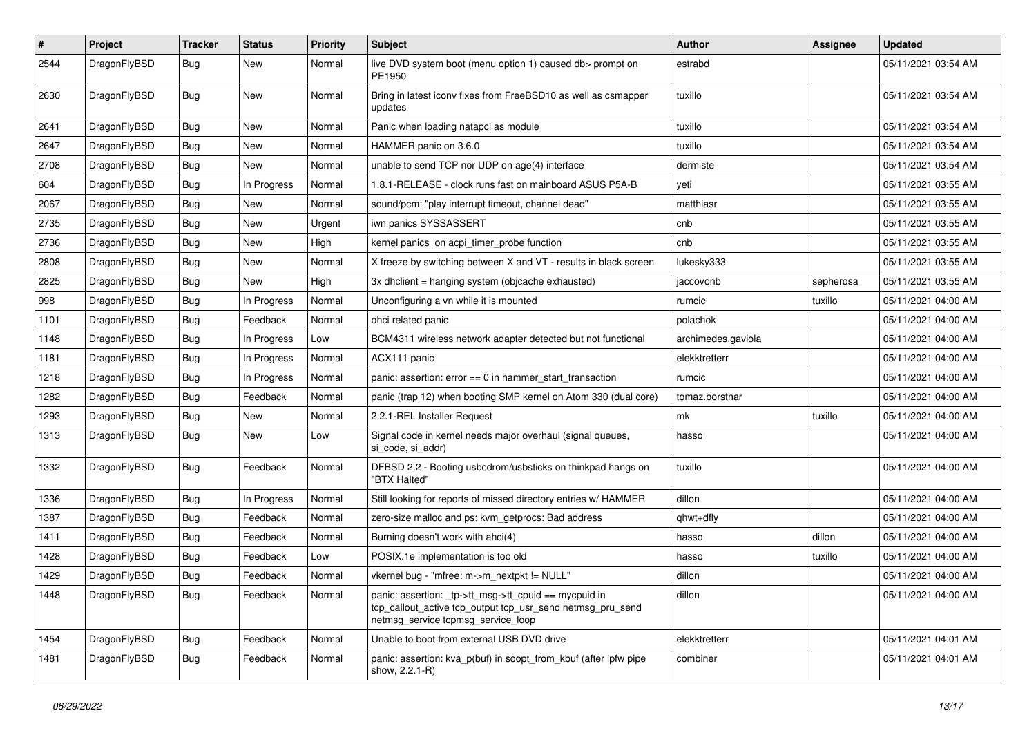| ∦    | Project      | <b>Tracker</b> | <b>Status</b> | <b>Priority</b> | <b>Subject</b>                                                                                                                                            | <b>Author</b>      | Assignee  | <b>Updated</b>      |
|------|--------------|----------------|---------------|-----------------|-----------------------------------------------------------------------------------------------------------------------------------------------------------|--------------------|-----------|---------------------|
| 2544 | DragonFlyBSD | <b>Bug</b>     | <b>New</b>    | Normal          | live DVD system boot (menu option 1) caused db > prompt on<br>PE1950                                                                                      | estrabd            |           | 05/11/2021 03:54 AM |
| 2630 | DragonFlyBSD | Bug            | <b>New</b>    | Normal          | Bring in latest iconv fixes from FreeBSD10 as well as csmapper<br>updates                                                                                 | tuxillo            |           | 05/11/2021 03:54 AM |
| 2641 | DragonFlyBSD | <b>Bug</b>     | <b>New</b>    | Normal          | Panic when loading natapci as module                                                                                                                      | tuxillo            |           | 05/11/2021 03:54 AM |
| 2647 | DragonFlyBSD | <b>Bug</b>     | <b>New</b>    | Normal          | HAMMER panic on 3.6.0                                                                                                                                     | tuxillo            |           | 05/11/2021 03:54 AM |
| 2708 | DragonFlyBSD | Bug            | New           | Normal          | unable to send TCP nor UDP on age(4) interface                                                                                                            | dermiste           |           | 05/11/2021 03:54 AM |
| 604  | DragonFlyBSD | Bug            | In Progress   | Normal          | 1.8.1-RELEASE - clock runs fast on mainboard ASUS P5A-B                                                                                                   | yeti               |           | 05/11/2021 03:55 AM |
| 2067 | DragonFlyBSD | <b>Bug</b>     | New           | Normal          | sound/pcm: "play interrupt timeout, channel dead"                                                                                                         | matthiasr          |           | 05/11/2021 03:55 AM |
| 2735 | DragonFlyBSD | <b>Bug</b>     | <b>New</b>    | Urgent          | iwn panics SYSSASSERT                                                                                                                                     | cnb                |           | 05/11/2021 03:55 AM |
| 2736 | DragonFlyBSD | Bug            | New           | High            | kernel panics on acpi timer probe function                                                                                                                | cnb                |           | 05/11/2021 03:55 AM |
| 2808 | DragonFlyBSD | <b>Bug</b>     | <b>New</b>    | Normal          | X freeze by switching between X and VT - results in black screen                                                                                          | lukesky333         |           | 05/11/2021 03:55 AM |
| 2825 | DragonFlyBSD | Bug            | New           | High            | 3x dhclient = hanging system (objcache exhausted)                                                                                                         | jaccovonb          | sepherosa | 05/11/2021 03:55 AM |
| 998  | DragonFlyBSD | Bug            | In Progress   | Normal          | Unconfiguring a vn while it is mounted                                                                                                                    | rumcic             | tuxillo   | 05/11/2021 04:00 AM |
| 1101 | DragonFlyBSD | Bug            | Feedback      | Normal          | ohci related panic                                                                                                                                        | polachok           |           | 05/11/2021 04:00 AM |
| 1148 | DragonFlyBSD | <b>Bug</b>     | In Progress   | Low             | BCM4311 wireless network adapter detected but not functional                                                                                              | archimedes.gaviola |           | 05/11/2021 04:00 AM |
| 1181 | DragonFlyBSD | <b>Bug</b>     | In Progress   | Normal          | ACX111 panic                                                                                                                                              | elekktretterr      |           | 05/11/2021 04:00 AM |
| 1218 | DragonFlyBSD | <b>Bug</b>     | In Progress   | Normal          | panic: assertion: $error == 0$ in hammer_start_transaction                                                                                                | rumcic             |           | 05/11/2021 04:00 AM |
| 1282 | DragonFlyBSD | Bug            | Feedback      | Normal          | panic (trap 12) when booting SMP kernel on Atom 330 (dual core)                                                                                           | tomaz.borstnar     |           | 05/11/2021 04:00 AM |
| 1293 | DragonFlyBSD | <b>Bug</b>     | <b>New</b>    | Normal          | 2.2.1-REL Installer Request                                                                                                                               | mk                 | tuxillo   | 05/11/2021 04:00 AM |
| 1313 | DragonFlyBSD | <b>Bug</b>     | <b>New</b>    | Low             | Signal code in kernel needs major overhaul (signal queues,<br>si code, si addr)                                                                           | hasso              |           | 05/11/2021 04:00 AM |
| 1332 | DragonFlyBSD | Bug            | Feedback      | Normal          | DFBSD 2.2 - Booting usbcdrom/usbsticks on thinkpad hangs on<br>"BTX Halted"                                                                               | tuxillo            |           | 05/11/2021 04:00 AM |
| 1336 | DragonFlyBSD | Bug            | In Progress   | Normal          | Still looking for reports of missed directory entries w/ HAMMER                                                                                           | dillon             |           | 05/11/2021 04:00 AM |
| 1387 | DragonFlyBSD | Bug            | Feedback      | Normal          | zero-size malloc and ps: kvm_getprocs: Bad address                                                                                                        | qhwt+dfly          |           | 05/11/2021 04:00 AM |
| 1411 | DragonFlyBSD | <b>Bug</b>     | Feedback      | Normal          | Burning doesn't work with ahci(4)                                                                                                                         | hasso              | dillon    | 05/11/2021 04:00 AM |
| 1428 | DragonFlyBSD | <b>Bug</b>     | Feedback      | Low             | POSIX.1e implementation is too old                                                                                                                        | hasso              | tuxillo   | 05/11/2021 04:00 AM |
| 1429 | DragonFlyBSD | <b>Bug</b>     | Feedback      | Normal          | vkernel bug - "mfree: m->m_nextpkt != NULL"                                                                                                               | dillon             |           | 05/11/2021 04:00 AM |
| 1448 | DragonFlyBSD | <b>Bug</b>     | Feedback      | Normal          | panic: assertion: _tp->tt_msg->tt_cpuid == mycpuid in<br>tcp_callout_active tcp_output tcp_usr_send netmsg_pru_send<br>netmsg_service tcpmsg_service_loop | dillon             |           | 05/11/2021 04:00 AM |
| 1454 | DragonFlyBSD | <b>Bug</b>     | Feedback      | Normal          | Unable to boot from external USB DVD drive                                                                                                                | elekktretterr      |           | 05/11/2021 04:01 AM |
| 1481 | DragonFlyBSD | Bug            | Feedback      | Normal          | panic: assertion: kva_p(buf) in soopt_from_kbuf (after ipfw pipe<br>show, 2.2.1-R)                                                                        | combiner           |           | 05/11/2021 04:01 AM |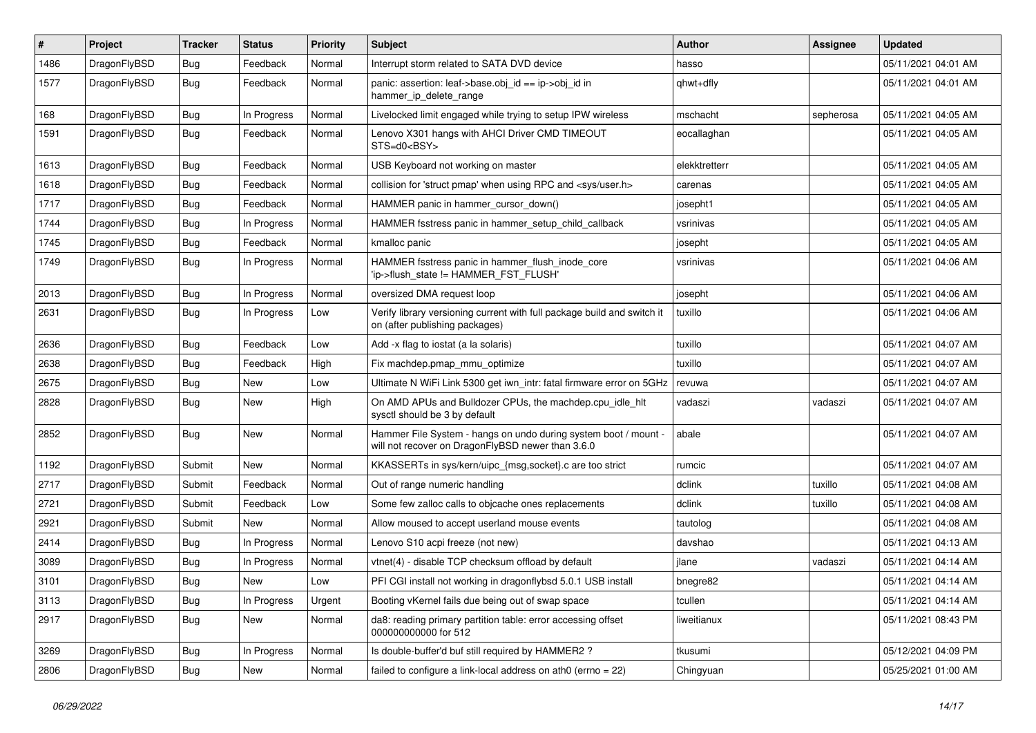| #    | Project      | <b>Tracker</b> | <b>Status</b> | <b>Priority</b> | Subject                                                                                                              | <b>Author</b> | Assignee  | <b>Updated</b>      |
|------|--------------|----------------|---------------|-----------------|----------------------------------------------------------------------------------------------------------------------|---------------|-----------|---------------------|
| 1486 | DragonFlyBSD | <b>Bug</b>     | Feedback      | Normal          | Interrupt storm related to SATA DVD device                                                                           | hasso         |           | 05/11/2021 04:01 AM |
| 1577 | DragonFlyBSD | <b>Bug</b>     | Feedback      | Normal          | panic: assertion: leaf->base.obj_id == ip->obj_id in<br>hammer_ip_delete_range                                       | qhwt+dfly     |           | 05/11/2021 04:01 AM |
| 168  | DragonFlyBSD | <b>Bug</b>     | In Progress   | Normal          | Livelocked limit engaged while trying to setup IPW wireless                                                          | mschacht      | sepherosa | 05/11/2021 04:05 AM |
| 1591 | DragonFlyBSD | Bug            | Feedback      | Normal          | Lenovo X301 hangs with AHCI Driver CMD TIMEOUT<br>STS=d0 <bsy></bsy>                                                 | eocallaghan   |           | 05/11/2021 04:05 AM |
| 1613 | DragonFlyBSD | Bug            | Feedback      | Normal          | USB Keyboard not working on master                                                                                   | elekktretterr |           | 05/11/2021 04:05 AM |
| 1618 | DragonFlyBSD | <b>Bug</b>     | Feedback      | Normal          | collision for 'struct pmap' when using RPC and <sys user.h=""></sys>                                                 | carenas       |           | 05/11/2021 04:05 AM |
| 1717 | DragonFlyBSD | <b>Bug</b>     | Feedback      | Normal          | HAMMER panic in hammer cursor down()                                                                                 | josepht1      |           | 05/11/2021 04:05 AM |
| 1744 | DragonFlyBSD | <b>Bug</b>     | In Progress   | Normal          | HAMMER fsstress panic in hammer_setup_child_callback                                                                 | vsrinivas     |           | 05/11/2021 04:05 AM |
| 1745 | DragonFlyBSD | <b>Bug</b>     | Feedback      | Normal          | kmalloc panic                                                                                                        | josepht       |           | 05/11/2021 04:05 AM |
| 1749 | DragonFlyBSD | <b>Bug</b>     | In Progress   | Normal          | HAMMER fsstress panic in hammer_flush_inode_core<br>'ip->flush_state != HAMMER_FST_FLUSH'                            | vsrinivas     |           | 05/11/2021 04:06 AM |
| 2013 | DragonFlyBSD | <b>Bug</b>     | In Progress   | Normal          | oversized DMA request loop                                                                                           | josepht       |           | 05/11/2021 04:06 AM |
| 2631 | DragonFlyBSD | <b>Bug</b>     | In Progress   | Low             | Verify library versioning current with full package build and switch it<br>on (after publishing packages)            | tuxillo       |           | 05/11/2021 04:06 AM |
| 2636 | DragonFlyBSD | <b>Bug</b>     | Feedback      | Low             | Add -x flag to iostat (a la solaris)                                                                                 | tuxillo       |           | 05/11/2021 04:07 AM |
| 2638 | DragonFlyBSD | <b>Bug</b>     | Feedback      | High            | Fix machdep.pmap mmu optimize                                                                                        | tuxillo       |           | 05/11/2021 04:07 AM |
| 2675 | DragonFlyBSD | <b>Bug</b>     | New           | Low             | Ultimate N WiFi Link 5300 get iwn_intr: fatal firmware error on 5GHz                                                 | revuwa        |           | 05/11/2021 04:07 AM |
| 2828 | DragonFlyBSD | <b>Bug</b>     | <b>New</b>    | High            | On AMD APUs and Bulldozer CPUs, the machdep.cpu_idle_hlt<br>sysctl should be 3 by default                            | vadaszi       | vadaszi   | 05/11/2021 04:07 AM |
| 2852 | DragonFlyBSD | <b>Bug</b>     | New           | Normal          | Hammer File System - hangs on undo during system boot / mount -<br>will not recover on DragonFlyBSD newer than 3.6.0 | abale         |           | 05/11/2021 04:07 AM |
| 1192 | DragonFlyBSD | Submit         | <b>New</b>    | Normal          | KKASSERTs in sys/kern/uipc_{msg,socket}.c are too strict                                                             | rumcic        |           | 05/11/2021 04:07 AM |
| 2717 | DragonFlyBSD | Submit         | Feedback      | Normal          | Out of range numeric handling                                                                                        | dclink        | tuxillo   | 05/11/2021 04:08 AM |
| 2721 | DragonFlyBSD | Submit         | Feedback      | Low             | Some few zalloc calls to objcache ones replacements                                                                  | dclink        | tuxillo   | 05/11/2021 04:08 AM |
| 2921 | DragonFlyBSD | Submit         | New           | Normal          | Allow moused to accept userland mouse events                                                                         | tautolog      |           | 05/11/2021 04:08 AM |
| 2414 | DragonFlyBSD | Bug            | In Progress   | Normal          | Lenovo S10 acpi freeze (not new)                                                                                     | davshao       |           | 05/11/2021 04:13 AM |
| 3089 | DragonFlyBSD | <b>Bug</b>     | In Progress   | Normal          | vtnet(4) - disable TCP checksum offload by default                                                                   | jlane         | vadaszi   | 05/11/2021 04:14 AM |
| 3101 | DragonFlyBSD | <b>Bug</b>     | <b>New</b>    | Low             | PFI CGI install not working in dragonflybsd 5.0.1 USB install                                                        | bnegre82      |           | 05/11/2021 04:14 AM |
| 3113 | DragonFlyBSD | <b>Bug</b>     | In Progress   | Urgent          | Booting vKernel fails due being out of swap space                                                                    | tcullen       |           | 05/11/2021 04:14 AM |
| 2917 | DragonFlyBSD | <b>Bug</b>     | New           | Normal          | da8: reading primary partition table: error accessing offset<br>000000000000 for 512                                 | liweitianux   |           | 05/11/2021 08:43 PM |
| 3269 | DragonFlyBSD | <b>Bug</b>     | In Progress   | Normal          | Is double-buffer'd buf still required by HAMMER2 ?                                                                   | tkusumi       |           | 05/12/2021 04:09 PM |
| 2806 | DragonFlyBSD | <b>Bug</b>     | New           | Normal          | failed to configure a link-local address on ath $0$ (errno = 22)                                                     | Chingyuan     |           | 05/25/2021 01:00 AM |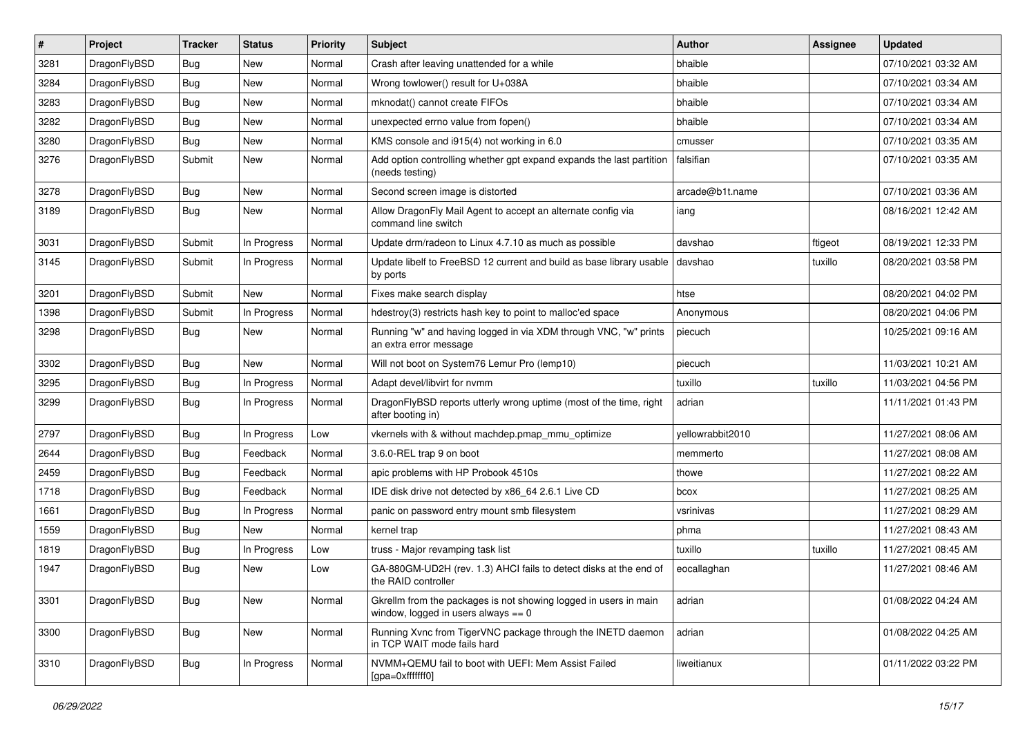| #    | Project      | <b>Tracker</b> | <b>Status</b> | <b>Priority</b> | <b>Subject</b>                                                                                            | <b>Author</b>    | Assignee | <b>Updated</b>      |
|------|--------------|----------------|---------------|-----------------|-----------------------------------------------------------------------------------------------------------|------------------|----------|---------------------|
| 3281 | DragonFlyBSD | <b>Bug</b>     | New           | Normal          | Crash after leaving unattended for a while                                                                | bhaible          |          | 07/10/2021 03:32 AM |
| 3284 | DragonFlyBSD | <b>Bug</b>     | New           | Normal          | Wrong towlower() result for U+038A                                                                        | bhaible          |          | 07/10/2021 03:34 AM |
| 3283 | DragonFlyBSD | <b>Bug</b>     | New           | Normal          | mknodat() cannot create FIFOs                                                                             | bhaible          |          | 07/10/2021 03:34 AM |
| 3282 | DragonFlyBSD | <b>Bug</b>     | New           | Normal          | unexpected errno value from fopen()                                                                       | bhaible          |          | 07/10/2021 03:34 AM |
| 3280 | DragonFlyBSD | <b>Bug</b>     | New           | Normal          | KMS console and i915(4) not working in 6.0                                                                | cmusser          |          | 07/10/2021 03:35 AM |
| 3276 | DragonFlyBSD | Submit         | New           | Normal          | Add option controlling whether gpt expand expands the last partition<br>(needs testing)                   | falsifian        |          | 07/10/2021 03:35 AM |
| 3278 | DragonFlyBSD | <b>Bug</b>     | New           | Normal          | Second screen image is distorted                                                                          | arcade@b1t.name  |          | 07/10/2021 03:36 AM |
| 3189 | DragonFlyBSD | Bug            | New           | Normal          | Allow DragonFly Mail Agent to accept an alternate config via<br>command line switch                       | iang             |          | 08/16/2021 12:42 AM |
| 3031 | DragonFlyBSD | Submit         | In Progress   | Normal          | Update drm/radeon to Linux 4.7.10 as much as possible                                                     | davshao          | ftigeot  | 08/19/2021 12:33 PM |
| 3145 | DragonFlyBSD | Submit         | In Progress   | Normal          | Update libelf to FreeBSD 12 current and build as base library usable<br>by ports                          | davshao          | tuxillo  | 08/20/2021 03:58 PM |
| 3201 | DragonFlyBSD | Submit         | New           | Normal          | Fixes make search display                                                                                 | htse             |          | 08/20/2021 04:02 PM |
| 1398 | DragonFlyBSD | Submit         | In Progress   | Normal          | hdestroy(3) restricts hash key to point to malloc'ed space                                                | Anonymous        |          | 08/20/2021 04:06 PM |
| 3298 | DragonFlyBSD | Bug            | New           | Normal          | Running "w" and having logged in via XDM through VNC, "w" prints<br>an extra error message                | piecuch          |          | 10/25/2021 09:16 AM |
| 3302 | DragonFlyBSD | <b>Bug</b>     | New           | Normal          | Will not boot on System76 Lemur Pro (lemp10)                                                              | piecuch          |          | 11/03/2021 10:21 AM |
| 3295 | DragonFlyBSD | <b>Bug</b>     | In Progress   | Normal          | Adapt devel/libvirt for nvmm                                                                              | tuxillo          | tuxillo  | 11/03/2021 04:56 PM |
| 3299 | DragonFlyBSD | <b>Bug</b>     | In Progress   | Normal          | DragonFlyBSD reports utterly wrong uptime (most of the time, right<br>after booting in)                   | adrian           |          | 11/11/2021 01:43 PM |
| 2797 | DragonFlyBSD | <b>Bug</b>     | In Progress   | Low             | vkernels with & without machdep.pmap mmu optimize                                                         | vellowrabbit2010 |          | 11/27/2021 08:06 AM |
| 2644 | DragonFlyBSD | <b>Bug</b>     | Feedback      | Normal          | 3.6.0-REL trap 9 on boot                                                                                  | memmerto         |          | 11/27/2021 08:08 AM |
| 2459 | DragonFlyBSD | <b>Bug</b>     | Feedback      | Normal          | apic problems with HP Probook 4510s                                                                       | thowe            |          | 11/27/2021 08:22 AM |
| 1718 | DragonFlyBSD | <b>Bug</b>     | Feedback      | Normal          | IDE disk drive not detected by x86_64 2.6.1 Live CD                                                       | bcox             |          | 11/27/2021 08:25 AM |
| 1661 | DragonFlyBSD | <b>Bug</b>     | In Progress   | Normal          | panic on password entry mount smb filesystem                                                              | vsrinivas        |          | 11/27/2021 08:29 AM |
| 1559 | DragonFlyBSD | <b>Bug</b>     | New           | Normal          | kernel trap                                                                                               | phma             |          | 11/27/2021 08:43 AM |
| 1819 | DragonFlyBSD | <b>Bug</b>     | In Progress   | Low             | truss - Major revamping task list                                                                         | tuxillo          | tuxillo  | 11/27/2021 08:45 AM |
| 1947 | DragonFlyBSD | <b>Bug</b>     | <b>New</b>    | Low             | GA-880GM-UD2H (rev. 1.3) AHCI fails to detect disks at the end of<br>the RAID controller                  | eocallaghan      |          | 11/27/2021 08:46 AM |
| 3301 | DragonFlyBSD | Bug            | New           | Normal          | Gkrellm from the packages is not showing logged in users in main<br>window, logged in users always $== 0$ | adrian           |          | 01/08/2022 04:24 AM |
| 3300 | DragonFlyBSD | <b>Bug</b>     | New           | Normal          | Running Xvnc from TigerVNC package through the INETD daemon<br>in TCP WAIT mode fails hard                | adrian           |          | 01/08/2022 04:25 AM |
| 3310 | DragonFlyBSD | <b>Bug</b>     | In Progress   | Normal          | NVMM+QEMU fail to boot with UEFI: Mem Assist Failed<br>[gpa=0xfffffff0]                                   | liweitianux      |          | 01/11/2022 03:22 PM |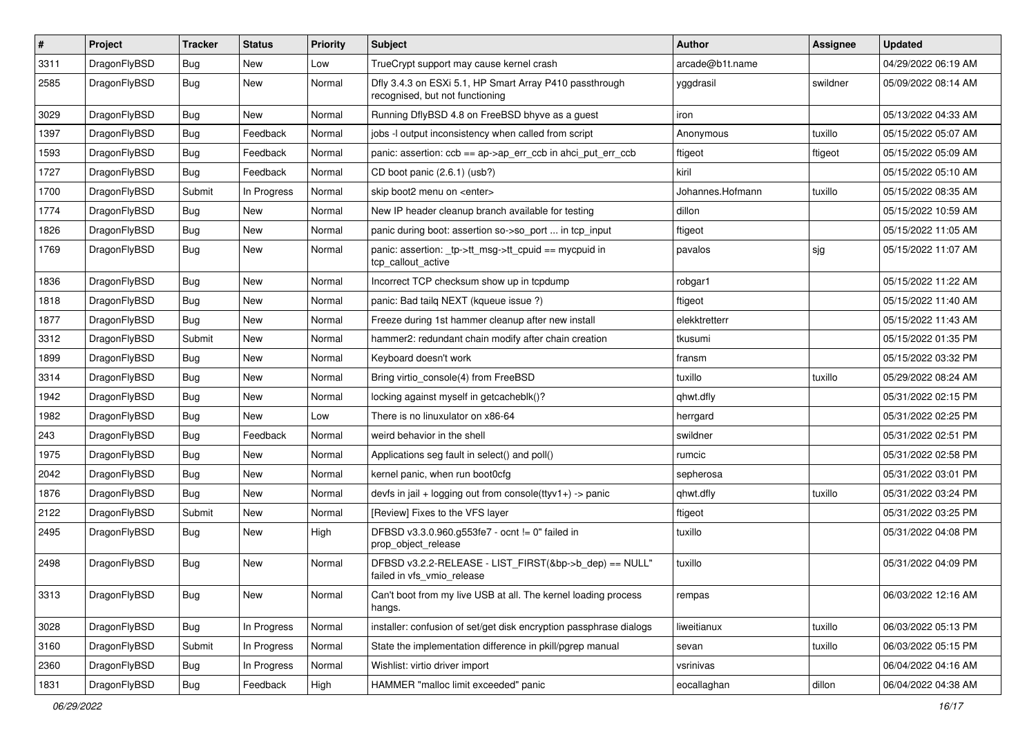| $\sharp$ | Project      | <b>Tracker</b> | <b>Status</b> | <b>Priority</b> | Subject                                                                                    | Author           | Assignee | <b>Updated</b>      |
|----------|--------------|----------------|---------------|-----------------|--------------------------------------------------------------------------------------------|------------------|----------|---------------------|
| 3311     | DragonFlyBSD | <b>Bug</b>     | New           | Low             | TrueCrypt support may cause kernel crash                                                   | arcade@b1t.name  |          | 04/29/2022 06:19 AM |
| 2585     | DragonFlyBSD | Bug            | New           | Normal          | Dfly 3.4.3 on ESXi 5.1, HP Smart Array P410 passthrough<br>recognised, but not functioning | yggdrasil        | swildner | 05/09/2022 08:14 AM |
| 3029     | DragonFlyBSD | Bug            | New           | Normal          | Running DflyBSD 4.8 on FreeBSD bhyve as a guest                                            | iron             |          | 05/13/2022 04:33 AM |
| 1397     | DragonFlyBSD | Bug            | Feedback      | Normal          | jobs -I output inconsistency when called from script                                       | Anonymous        | tuxillo  | 05/15/2022 05:07 AM |
| 1593     | DragonFlyBSD | <b>Bug</b>     | Feedback      | Normal          | panic: assertion: $ccb == ap$ ap- $\geq$ err $ccb$ in ahci put err $ccb$                   | ftigeot          | ftigeot  | 05/15/2022 05:09 AM |
| 1727     | DragonFlyBSD | Bug            | Feedback      | Normal          | CD boot panic (2.6.1) (usb?)                                                               | kiril            |          | 05/15/2022 05:10 AM |
| 1700     | DragonFlyBSD | Submit         | In Progress   | Normal          | skip boot2 menu on <enter></enter>                                                         | Johannes.Hofmann | tuxillo  | 05/15/2022 08:35 AM |
| 1774     | DragonFlyBSD | <b>Bug</b>     | New           | Normal          | New IP header cleanup branch available for testing                                         | dillon           |          | 05/15/2022 10:59 AM |
| 1826     | DragonFlyBSD | Bug            | <b>New</b>    | Normal          | panic during boot: assertion so->so_port  in tcp_input                                     | ftigeot          |          | 05/15/2022 11:05 AM |
| 1769     | DragonFlyBSD | <b>Bug</b>     | New           | Normal          | panic: assertion: _tp->tt_msg->tt_cpuid == mycpuid in<br>tcp_callout_active                | pavalos          | sjg      | 05/15/2022 11:07 AM |
| 1836     | DragonFlyBSD | Bug            | <b>New</b>    | Normal          | Incorrect TCP checksum show up in tcpdump                                                  | robgar1          |          | 05/15/2022 11:22 AM |
| 1818     | DragonFlyBSD | <b>Bug</b>     | <b>New</b>    | Normal          | panic: Bad tailg NEXT (kqueue issue ?)                                                     | ftigeot          |          | 05/15/2022 11:40 AM |
| 1877     | DragonFlyBSD | <b>Bug</b>     | <b>New</b>    | Normal          | Freeze during 1st hammer cleanup after new install                                         | elekktretterr    |          | 05/15/2022 11:43 AM |
| 3312     | DragonFlyBSD | Submit         | <b>New</b>    | Normal          | hammer2: redundant chain modify after chain creation                                       | tkusumi          |          | 05/15/2022 01:35 PM |
| 1899     | DragonFlyBSD | <b>Bug</b>     | New           | Normal          | Keyboard doesn't work                                                                      | fransm           |          | 05/15/2022 03:32 PM |
| 3314     | DragonFlyBSD | <b>Bug</b>     | <b>New</b>    | Normal          | Bring virtio_console(4) from FreeBSD                                                       | tuxillo          | tuxillo  | 05/29/2022 08:24 AM |
| 1942     | DragonFlyBSD | <b>Bug</b>     | New           | Normal          | locking against myself in getcacheblk()?                                                   | qhwt.dfly        |          | 05/31/2022 02:15 PM |
| 1982     | DragonFlyBSD | <b>Bug</b>     | New           | Low             | There is no linuxulator on x86-64                                                          | herrgard         |          | 05/31/2022 02:25 PM |
| 243      | DragonFlyBSD | <b>Bug</b>     | Feedback      | Normal          | weird behavior in the shell                                                                | swildner         |          | 05/31/2022 02:51 PM |
| 1975     | DragonFlyBSD | <b>Bug</b>     | New           | Normal          | Applications seg fault in select() and poll()                                              | rumcic           |          | 05/31/2022 02:58 PM |
| 2042     | DragonFlyBSD | <b>Bug</b>     | New           | Normal          | kernel panic, when run boot0cfg                                                            | sepherosa        |          | 05/31/2022 03:01 PM |
| 1876     | DragonFlyBSD | <b>Bug</b>     | New           | Normal          | devfs in jail + logging out from console(ttyv1+) -> panic                                  | qhwt.dfly        | tuxillo  | 05/31/2022 03:24 PM |
| 2122     | DragonFlyBSD | Submit         | <b>New</b>    | Normal          | [Review] Fixes to the VFS layer                                                            | ftigeot          |          | 05/31/2022 03:25 PM |
| 2495     | DragonFlyBSD | Bug            | New           | High            | DFBSD v3.3.0.960.g553fe7 - ocnt != 0" failed in<br>prop object release                     | tuxillo          |          | 05/31/2022 04:08 PM |
| 2498     | DragonFlyBSD | <b>Bug</b>     | New           | Normal          | DFBSD v3.2.2-RELEASE - LIST FIRST(&bp->b dep) == NULL"<br>failed in vfs vmio release       | tuxillo          |          | 05/31/2022 04:09 PM |
| 3313     | DragonFlyBSD | <b>Bug</b>     | New           | Normal          | Can't boot from my live USB at all. The kernel loading process<br>hangs.                   | rempas           |          | 06/03/2022 12:16 AM |
| 3028     | DragonFlyBSD | <b>Bug</b>     | In Progress   | Normal          | installer: confusion of set/get disk encryption passphrase dialogs                         | liweitianux      | tuxillo  | 06/03/2022 05:13 PM |
| 3160     | DragonFlyBSD | Submit         | In Progress   | Normal          | State the implementation difference in pkill/pgrep manual                                  | sevan            | tuxillo  | 06/03/2022 05:15 PM |
| 2360     | DragonFlyBSD | <b>Bug</b>     | In Progress   | Normal          | Wishlist: virtio driver import                                                             | vsrinivas        |          | 06/04/2022 04:16 AM |
| 1831     | DragonFlyBSD | Bug            | Feedback      | High            | HAMMER "malloc limit exceeded" panic                                                       | eocallaghan      | dillon   | 06/04/2022 04:38 AM |